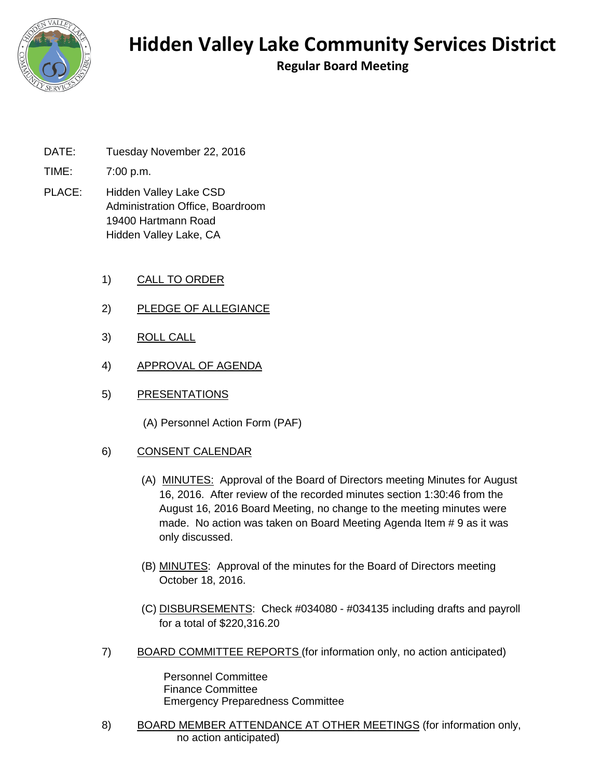

**Regular Board Meeting**

DATE: Tuesday November 22, 2016

TIME: 7:00 p.m.

- PLACE: Hidden Valley Lake CSD Administration Office, Boardroom 19400 Hartmann Road Hidden Valley Lake, CA
	- 1) CALL TO ORDER
	- 2) PLEDGE OF ALLEGIANCE
	- 3) ROLL CALL
	- 4) APPROVAL OF AGENDA
	- 5) PRESENTATIONS
		- (A) Personnel Action Form (PAF)
	- 6) CONSENT CALENDAR
		- (A) MINUTES: Approval of the Board of Directors meeting Minutes for August 16, 2016. After review of the recorded minutes section 1:30:46 from the August 16, 2016 Board Meeting, no change to the meeting minutes were made. No action was taken on Board Meeting Agenda Item # 9 as it was only discussed.
		- (B) MINUTES: Approval of the minutes for the Board of Directors meeting October 18, 2016.
		- (C) DISBURSEMENTS: Check #034080 #034135 including drafts and payroll for a total of \$220,316.20
	- 7) BOARD COMMITTEE REPORTS (for information only, no action anticipated)

Personnel Committee Finance Committee Emergency Preparedness Committee

8) BOARD MEMBER ATTENDANCE AT OTHER MEETINGS (for information only, no action anticipated)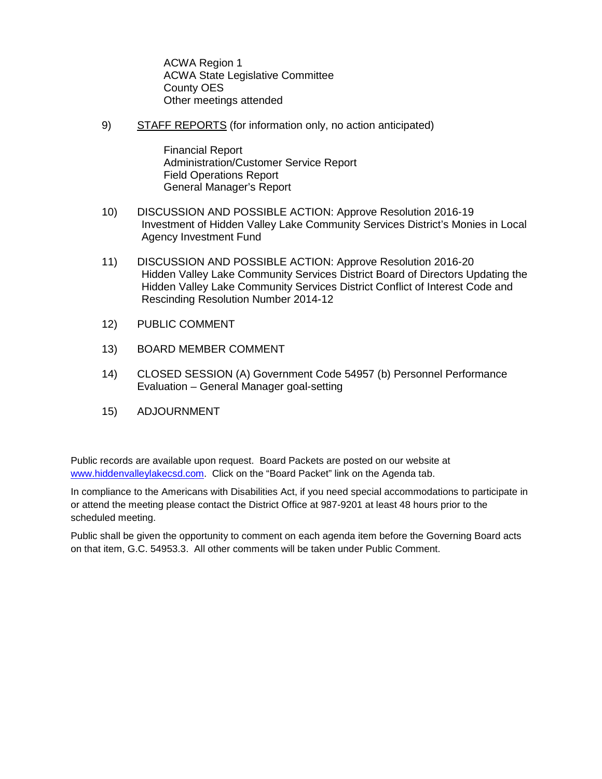ACWA Region 1 ACWA State Legislative Committee County OES Other meetings attended

9) STAFF REPORTS (for information only, no action anticipated)

Financial Report Administration/Customer Service Report Field Operations Report General Manager's Report

- 10) DISCUSSION AND POSSIBLE ACTION: Approve Resolution 2016-19 Investment of Hidden Valley Lake Community Services District's Monies in Local Agency Investment Fund
- 11) DISCUSSION AND POSSIBLE ACTION: Approve Resolution 2016-20 Hidden Valley Lake Community Services District Board of Directors Updating the Hidden Valley Lake Community Services District Conflict of Interest Code and Rescinding Resolution Number 2014-12
- 12) PUBLIC COMMENT
- 13) BOARD MEMBER COMMENT
- 14) CLOSED SESSION (A) Government Code 54957 (b) Personnel Performance Evaluation – General Manager goal-setting
- 15) ADJOURNMENT

Public records are available upon request. Board Packets are posted on our website at [www.hiddenvalleylakecsd.com.](http://www.hiddenvalleylakecsd.com/) Click on the "Board Packet" link on the Agenda tab.

In compliance to the Americans with Disabilities Act, if you need special accommodations to participate in or attend the meeting please contact the District Office at 987-9201 at least 48 hours prior to the scheduled meeting.

Public shall be given the opportunity to comment on each agenda item before the Governing Board acts on that item, G.C. 54953.3. All other comments will be taken under Public Comment.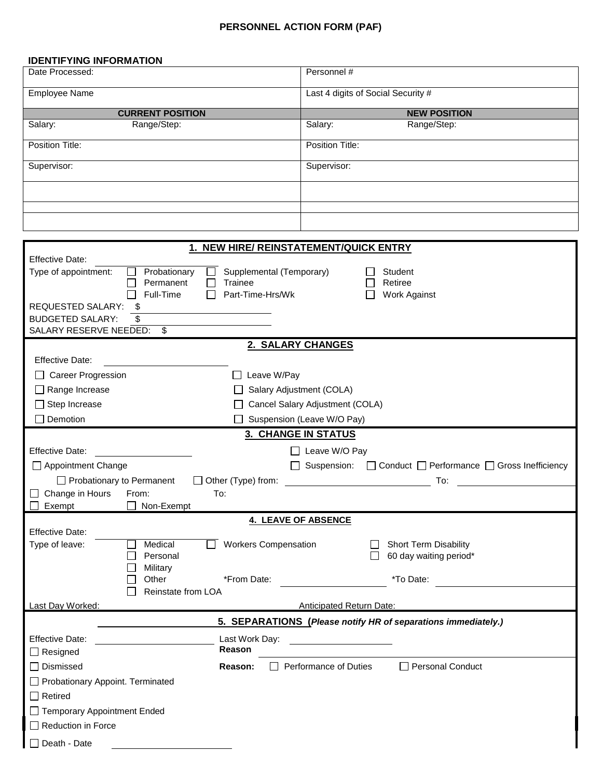### **PERSONNEL ACTION FORM (PAF)**

#### **IDENTIFYING INFORMATION**

| Date Processed:         | Personnel #                        |
|-------------------------|------------------------------------|
| Employee Name           | Last 4 digits of Social Security # |
| <b>CURRENT POSITION</b> | <b>NEW POSITION</b>                |
| Salary:<br>Range/Step:  | Salary:<br>Range/Step:             |
| Position Title:         | Position Title:                    |
| Supervisor:             | Supervisor:                        |
|                         |                                    |
|                         |                                    |
|                         |                                    |

| 1.                                        | <b>NEW HIRE/ REINSTATEMENT/QUICK ENTRY</b>                                                                                                                                                                                                 |
|-------------------------------------------|--------------------------------------------------------------------------------------------------------------------------------------------------------------------------------------------------------------------------------------------|
| <b>Effective Date:</b>                    |                                                                                                                                                                                                                                            |
| Type of appointment:<br>Probationary      | Supplemental (Temporary)<br>Student                                                                                                                                                                                                        |
| Permanent<br>Full-Time                    | Trainee<br>Retiree<br>Part-Time-Hrs/Wk<br><b>Work Against</b>                                                                                                                                                                              |
| REQUESTED SALARY:<br>\$                   |                                                                                                                                                                                                                                            |
| <b>BUDGETED SALARY:</b><br>\$             |                                                                                                                                                                                                                                            |
| SALARY RESERVE NEEDED: \$                 |                                                                                                                                                                                                                                            |
|                                           | 2. SALARY CHANGES                                                                                                                                                                                                                          |
| <b>Effective Date:</b>                    |                                                                                                                                                                                                                                            |
| Career Progression                        | Leave W/Pay<br>$\Box$                                                                                                                                                                                                                      |
| $\Box$ Range Increase                     | Salary Adjustment (COLA)                                                                                                                                                                                                                   |
| □ Step Increase                           | Cancel Salary Adjustment (COLA)                                                                                                                                                                                                            |
| $\Box$ Demotion                           | Suspension (Leave W/O Pay)                                                                                                                                                                                                                 |
|                                           | <b>3. CHANGE IN STATUS</b>                                                                                                                                                                                                                 |
| <b>Effective Date:</b>                    | □ Leave W/O Pay                                                                                                                                                                                                                            |
| Appointment Change                        | □ Suspension: □ Conduct □ Performance □ Gross Inefficiency                                                                                                                                                                                 |
| $\Box$ Probationary to Permanent          | □ Other (Type) from: <u>with a set of the set of the set of the set of the set of the set of the set of the set of the set of the set of the set of the set of the set of the set of the set of the set of the set of the set o</u><br>To: |
| Change in Hours<br>From:                  | To:                                                                                                                                                                                                                                        |
| Exempt<br>$\Box$ Non-Exempt               |                                                                                                                                                                                                                                            |
|                                           | <b>4. LEAVE OF ABSENCE</b>                                                                                                                                                                                                                 |
| <b>Effective Date:</b>                    |                                                                                                                                                                                                                                            |
| Medical<br>Type of leave:<br>$\mathsf{L}$ | <b>Workers Compensation</b><br>Short Term Disability                                                                                                                                                                                       |
| Personal<br>Military                      | 60 day waiting period*                                                                                                                                                                                                                     |
| Other                                     | *From Date:<br>*To Date:                                                                                                                                                                                                                   |
| Reinstate from LOA                        |                                                                                                                                                                                                                                            |
| Last Day Worked:                          | <b>Anticipated Return Date:</b>                                                                                                                                                                                                            |
|                                           | 5. SEPARATIONS (Please notify HR of separations immediately.)                                                                                                                                                                              |
| <b>Effective Date:</b>                    | Last Work Day:                                                                                                                                                                                                                             |
| $\Box$ Resigned                           | Reason                                                                                                                                                                                                                                     |
| $\Box$ Dismissed                          | Performance of Duties<br>Personal Conduct<br>Reason:                                                                                                                                                                                       |
| Probationary Appoint. Terminated          |                                                                                                                                                                                                                                            |
| $\Box$ Retired                            |                                                                                                                                                                                                                                            |
| Temporary Appointment Ended               |                                                                                                                                                                                                                                            |
| Reduction in Force                        |                                                                                                                                                                                                                                            |
| Death - Date                              |                                                                                                                                                                                                                                            |
|                                           |                                                                                                                                                                                                                                            |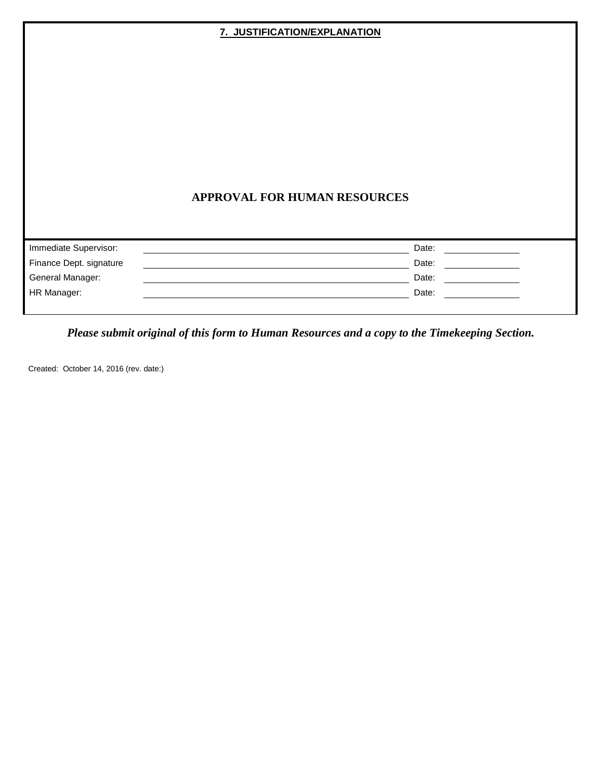|                         | 7. JUSTIFICATION/EXPLANATION        |       |  |
|-------------------------|-------------------------------------|-------|--|
|                         |                                     |       |  |
|                         |                                     |       |  |
|                         |                                     |       |  |
|                         |                                     |       |  |
|                         |                                     |       |  |
|                         | <b>APPROVAL FOR HUMAN RESOURCES</b> |       |  |
|                         |                                     |       |  |
| Immediate Supervisor:   |                                     | Date: |  |
| Finance Dept. signature |                                     | Date: |  |
| General Manager:        |                                     | Date: |  |
| HR Manager:             |                                     | Date: |  |

*Please submit original of this form to Human Resources and a copy to the Timekeeping Section.*

Created: October 14, 2016 (rev. date:)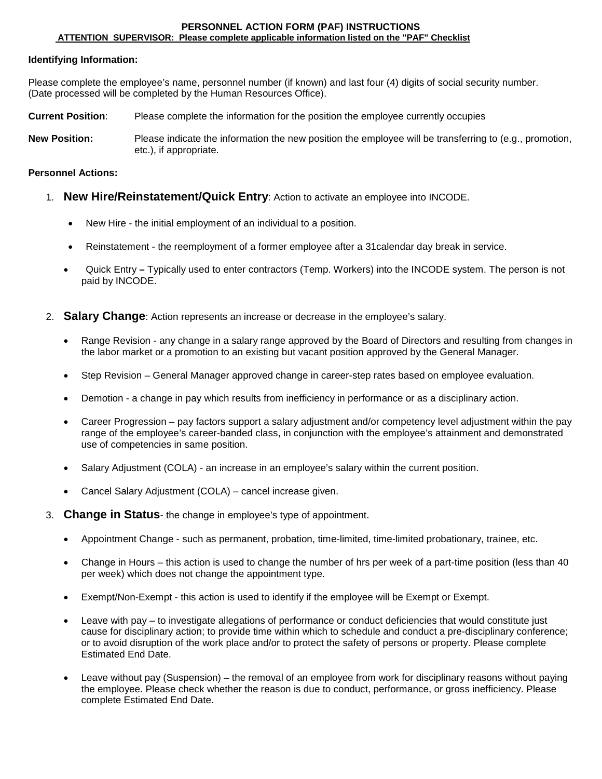#### **PERSONNEL ACTION FORM (PAF) INSTRUCTIONS ATTENTION SUPERVISOR: Please complete applicable information listed on the "PAF" Checklist**

#### **Identifying Information:**

Please complete the employee's name, personnel number (if known) and last four (4) digits of social security number. (Date processed will be completed by the Human Resources Office).

- **Current Position**: Please complete the information for the position the employee currently occupies
- **New Position:** Please indicate the information the new position the employee will be transferring to (e.g., promotion, etc.), if appropriate.

#### **Personnel Actions:**

- 1. **New Hire/Reinstatement/Quick Entry**: Action to activate an employee into INCODE.
	- New Hire the initial employment of an individual to a position.
	- Reinstatement the reemployment of a former employee after a 31calendar day break in service.
	- Quick Entry **–** Typically used to enter contractors (Temp. Workers) into the INCODE system. The person is not paid by INCODE.
- 2. **Salary Change**: Action represents an increase or decrease in the employee's salary.
	- Range Revision any change in a salary range approved by the Board of Directors and resulting from changes in the labor market or a promotion to an existing but vacant position approved by the General Manager.
	- Step Revision General Manager approved change in career-step rates based on employee evaluation.
	- Demotion a change in pay which results from inefficiency in performance or as a disciplinary action.
	- Career Progression pay factors support a salary adjustment and/or competency level adjustment within the pay range of the employee's career-banded class, in conjunction with the employee's attainment and demonstrated use of competencies in same position.
	- Salary Adjustment (COLA) an increase in an employee's salary within the current position.
	- Cancel Salary Adjustment (COLA) cancel increase given.
- 3. **Change in Status** the change in employee's type of appointment.
	- Appointment Change such as permanent, probation, time-limited, time-limited probationary, trainee, etc.
	- Change in Hours this action is used to change the number of hrs per week of a part-time position (less than 40 per week) which does not change the appointment type.
	- Exempt/Non-Exempt this action is used to identify if the employee will be Exempt or Exempt.
	- Leave with pay to investigate allegations of performance or conduct deficiencies that would constitute just cause for disciplinary action; to provide time within which to schedule and conduct a pre-disciplinary conference; or to avoid disruption of the work place and/or to protect the safety of persons or property. Please complete Estimated End Date.
	- Leave without pay (Suspension) the removal of an employee from work for disciplinary reasons without paying the employee. Please check whether the reason is due to conduct, performance, or gross inefficiency. Please complete Estimated End Date.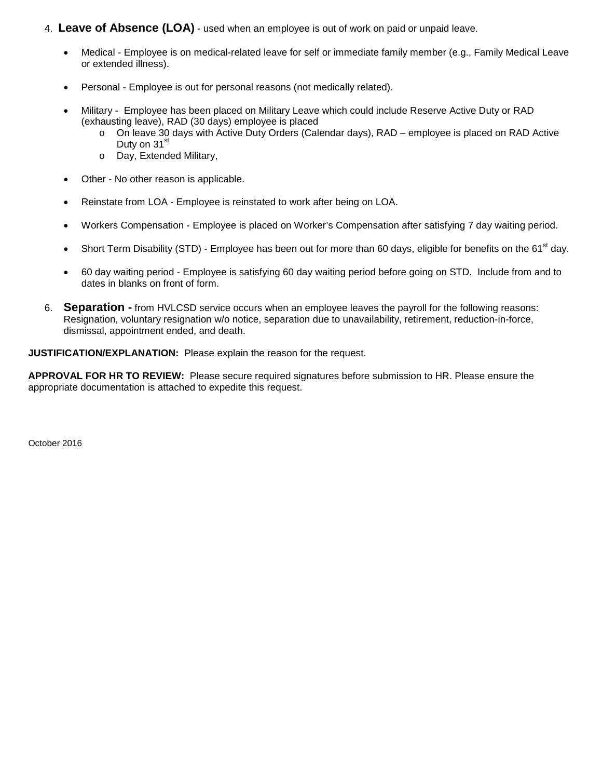- 4. **Leave of Absence (LOA)** used when an employee is out of work on paid or unpaid leave.
	- Medical Employee is on medical-related leave for self or immediate family member (e.g., Family Medical Leave or extended illness).
	- Personal Employee is out for personal reasons (not medically related).
	- Military Employee has been placed on Military Leave which could include Reserve Active Duty or RAD (exhausting leave), RAD (30 days) employee is placed
		- o On leave 30 days with Active Duty Orders (Calendar days), RAD employee is placed on RAD Active Duty on 31<sup>st</sup>
		- o Day, Extended Military,
	- Other No other reason is applicable.
	- Reinstate from LOA Employee is reinstated to work after being on LOA.
	- Workers Compensation Employee is placed on Worker's Compensation after satisfying 7 day waiting period.
	- Short Term Disability (STD) Employee has been out for more than 60 days, eligible for benefits on the 61<sup>st</sup> day.
	- 60 day waiting period Employee is satisfying 60 day waiting period before going on STD. Include from and to dates in blanks on front of form.
- 6. **Separation -** from HVLCSD service occurs when an employee leaves the payroll for the following reasons: Resignation, voluntary resignation w/o notice, separation due to unavailability, retirement, reduction-in-force, dismissal, appointment ended, and death.

**JUSTIFICATION/EXPLANATION:** Please explain the reason for the request.

**APPROVAL FOR HR TO REVIEW:** Please secure required signatures before submission to HR. Please ensure the appropriate documentation is attached to expedite this request.

October 2016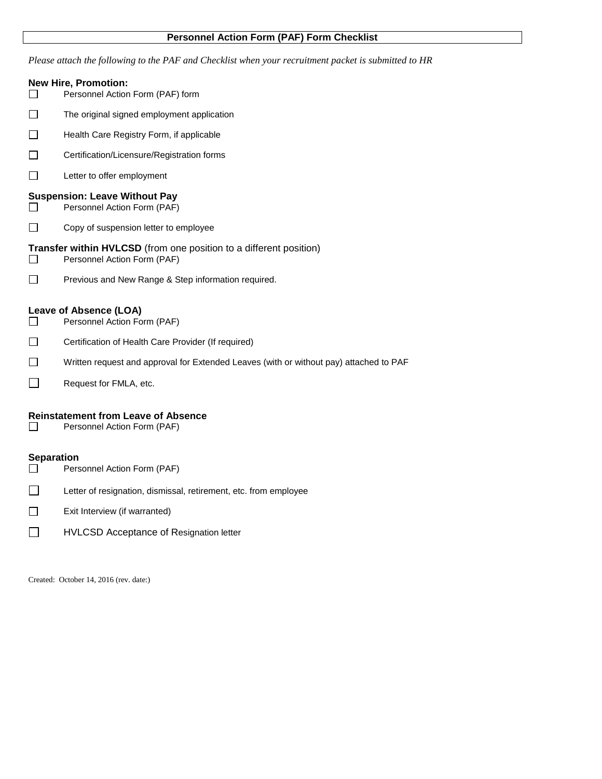#### **Personnel Action Form (PAF) Form Checklist**

*Please attach the following to the PAF and Checklist when your recruitment packet is submitted to HR*

# **New Hire, Promotion:**<br> **D** Personnel Action

- Personnel Action Form (PAF) form
- $\Box$ The original signed employment application
- $\Box$ Health Care Registry Form, if applicable
- $\Box$ Certification/Licensure/Registration forms
- $\Box$ Letter to offer employment

# **Suspension: Leave Without Pay**

- Personnel Action Form (PAF)
- $\Box$ Copy of suspension letter to employee

#### **Transfer within HVLCSD** (from one position to a different position)

- $\Box$ Personnel Action Form (PAF)
- $\Box$ Previous and New Range & Step information required.

#### **Leave of Absence (LOA)**

- Personnel Action Form (PAF)  $\Box$
- $\Box$ Certification of Health Care Provider (If required)
- $\Box$ Written request and approval for Extended Leaves (with or without pay) attached to PAF
- $\Box$ Request for FMLA, etc.

#### **Reinstatement from Leave of Absence**

 $\Box$ Personnel Action Form (PAF)

#### **Separation**

- $\Box$ Personnel Action Form (PAF)
- $\Box$ Letter of resignation, dismissal, retirement, etc. from employee
- $\Box$ Exit Interview (if warranted)
- $\Box$ HVLCSD Acceptance of Resignation letter

Created: October 14, 2016 (rev. date:)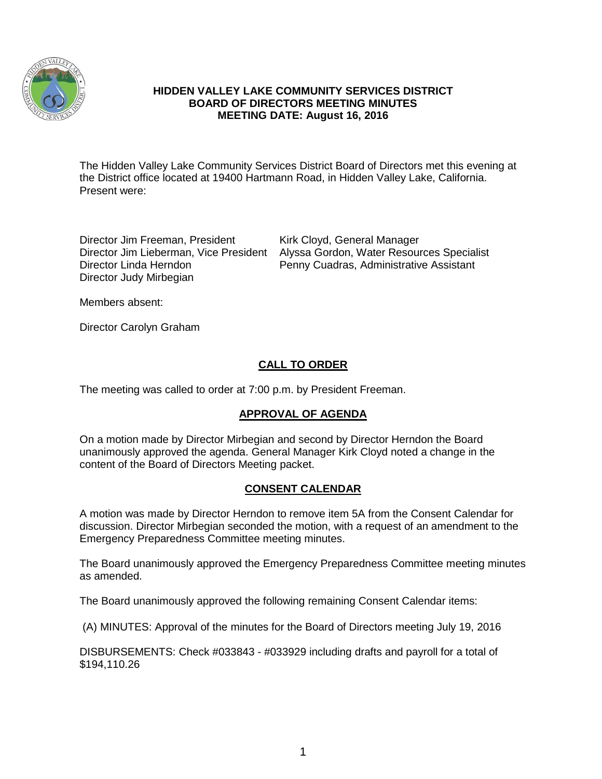

### **HIDDEN VALLEY LAKE COMMUNITY SERVICES DISTRICT BOARD OF DIRECTORS MEETING MINUTES MEETING DATE: August 16, 2016**

The Hidden Valley Lake Community Services District Board of Directors met this evening at the District office located at 19400 Hartmann Road, in Hidden Valley Lake, California. Present were:

Director Jim Freeman, President Kirk Cloyd, General Manager Director Judy Mirbegian

Director Jim Lieberman, Vice President Alyssa Gordon, Water Resources Specialist<br>Director Linda Herndon **Matem Penny Cuadras, Administrative Assistant** Penny Cuadras, Administrative Assistant

Members absent:

Director Carolyn Graham

# **CALL TO ORDER**

The meeting was called to order at 7:00 p.m. by President Freeman.

# **APPROVAL OF AGENDA**

On a motion made by Director Mirbegian and second by Director Herndon the Board unanimously approved the agenda. General Manager Kirk Cloyd noted a change in the content of the Board of Directors Meeting packet.

# **CONSENT CALENDAR**

A motion was made by Director Herndon to remove item 5A from the Consent Calendar for discussion. Director Mirbegian seconded the motion, with a request of an amendment to the Emergency Preparedness Committee meeting minutes.

The Board unanimously approved the Emergency Preparedness Committee meeting minutes as amended.

The Board unanimously approved the following remaining Consent Calendar items:

(A) MINUTES: Approval of the minutes for the Board of Directors meeting July 19, 2016

DISBURSEMENTS: Check #033843 - #033929 including drafts and payroll for a total of \$194,110.26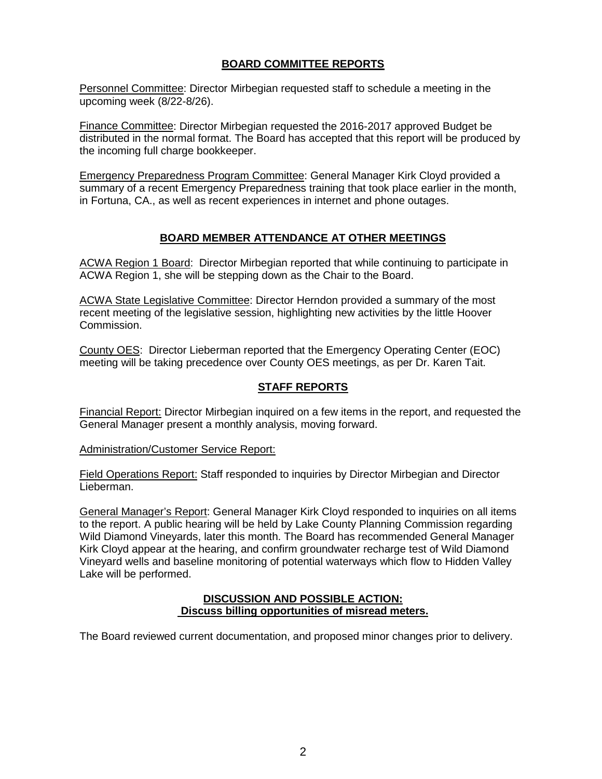# **BOARD COMMITTEE REPORTS**

Personnel Committee: Director Mirbegian requested staff to schedule a meeting in the upcoming week (8/22-8/26).

Finance Committee: Director Mirbegian requested the 2016-2017 approved Budget be distributed in the normal format. The Board has accepted that this report will be produced by the incoming full charge bookkeeper.

Emergency Preparedness Program Committee: General Manager Kirk Cloyd provided a summary of a recent Emergency Preparedness training that took place earlier in the month, in Fortuna, CA., as well as recent experiences in internet and phone outages.

# **BOARD MEMBER ATTENDANCE AT OTHER MEETINGS**

ACWA Region 1 Board: Director Mirbegian reported that while continuing to participate in ACWA Region 1, she will be stepping down as the Chair to the Board.

ACWA State Legislative Committee: Director Herndon provided a summary of the most recent meeting of the legislative session, highlighting new activities by the little Hoover Commission.

County OES: Director Lieberman reported that the Emergency Operating Center (EOC) meeting will be taking precedence over County OES meetings, as per Dr. Karen Tait.

# **STAFF REPORTS**

Financial Report: Director Mirbegian inquired on a few items in the report, and requested the General Manager present a monthly analysis, moving forward.

Administration/Customer Service Report:

Field Operations Report: Staff responded to inquiries by Director Mirbegian and Director Lieberman.

General Manager's Report: General Manager Kirk Cloyd responded to inquiries on all items to the report. A public hearing will be held by Lake County Planning Commission regarding Wild Diamond Vineyards, later this month. The Board has recommended General Manager Kirk Cloyd appear at the hearing, and confirm groundwater recharge test of Wild Diamond Vineyard wells and baseline monitoring of potential waterways which flow to Hidden Valley Lake will be performed.

#### **DISCUSSION AND POSSIBLE ACTION: Discuss billing opportunities of misread meters.**

The Board reviewed current documentation, and proposed minor changes prior to delivery.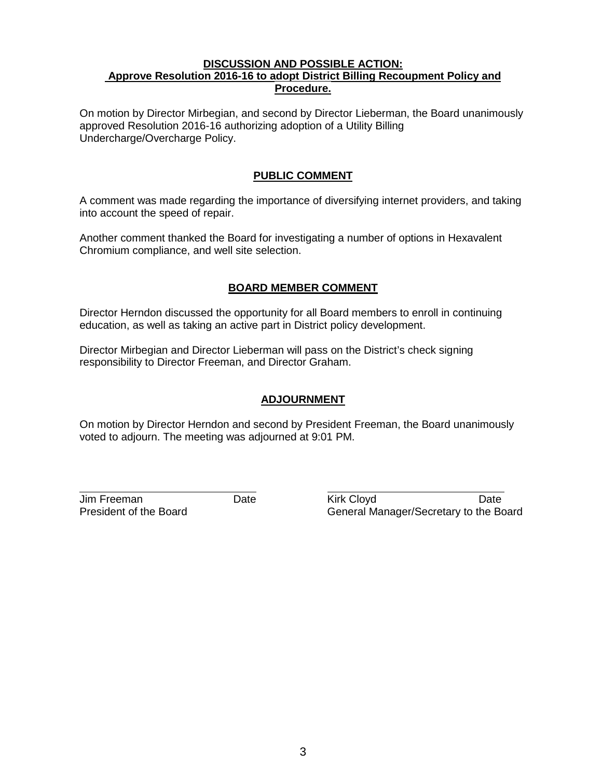#### **DISCUSSION AND POSSIBLE ACTION: Approve Resolution 2016-16 to adopt District Billing Recoupment Policy and Procedure.**

On motion by Director Mirbegian, and second by Director Lieberman, the Board unanimously approved Resolution 2016-16 authorizing adoption of a Utility Billing Undercharge/Overcharge Policy.

# **PUBLIC COMMENT**

A comment was made regarding the importance of diversifying internet providers, and taking into account the speed of repair.

Another comment thanked the Board for investigating a number of options in Hexavalent Chromium compliance, and well site selection.

# **BOARD MEMBER COMMENT**

Director Herndon discussed the opportunity for all Board members to enroll in continuing education, as well as taking an active part in District policy development.

Director Mirbegian and Director Lieberman will pass on the District's check signing responsibility to Director Freeman, and Director Graham.

# **ADJOURNMENT**

On motion by Director Herndon and second by President Freeman, the Board unanimously voted to adjourn. The meeting was adjourned at 9:01 PM.

Jim Freeman Date Kirk Cloyd Date President of the Board **General Manager/Secretary to the Board**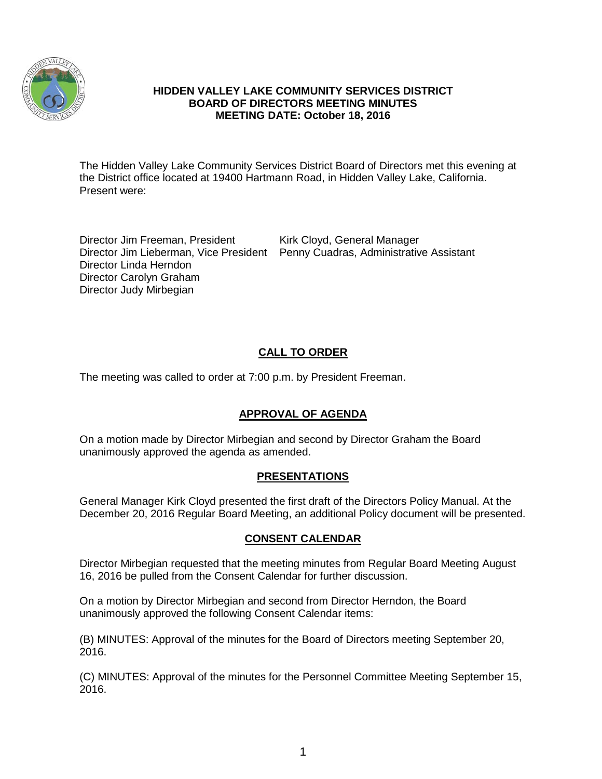

### **HIDDEN VALLEY LAKE COMMUNITY SERVICES DISTRICT BOARD OF DIRECTORS MEETING MINUTES MEETING DATE: October 18, 2016**

The Hidden Valley Lake Community Services District Board of Directors met this evening at the District office located at 19400 Hartmann Road, in Hidden Valley Lake, California. Present were:

Director Jim Freeman, President Kirk Cloyd, General Manager Director Linda Herndon Director Carolyn Graham Director Judy Mirbegian

Director Jim Lieberman, Vice President Penny Cuadras, Administrative Assistant

# **CALL TO ORDER**

The meeting was called to order at 7:00 p.m. by President Freeman.

# **APPROVAL OF AGENDA**

On a motion made by Director Mirbegian and second by Director Graham the Board unanimously approved the agenda as amended.

# **PRESENTATIONS**

General Manager Kirk Cloyd presented the first draft of the Directors Policy Manual. At the December 20, 2016 Regular Board Meeting, an additional Policy document will be presented.

# **CONSENT CALENDAR**

Director Mirbegian requested that the meeting minutes from Regular Board Meeting August 16, 2016 be pulled from the Consent Calendar for further discussion.

On a motion by Director Mirbegian and second from Director Herndon, the Board unanimously approved the following Consent Calendar items:

(B) MINUTES: Approval of the minutes for the Board of Directors meeting September 20, 2016.

(C) MINUTES: Approval of the minutes for the Personnel Committee Meeting September 15, 2016.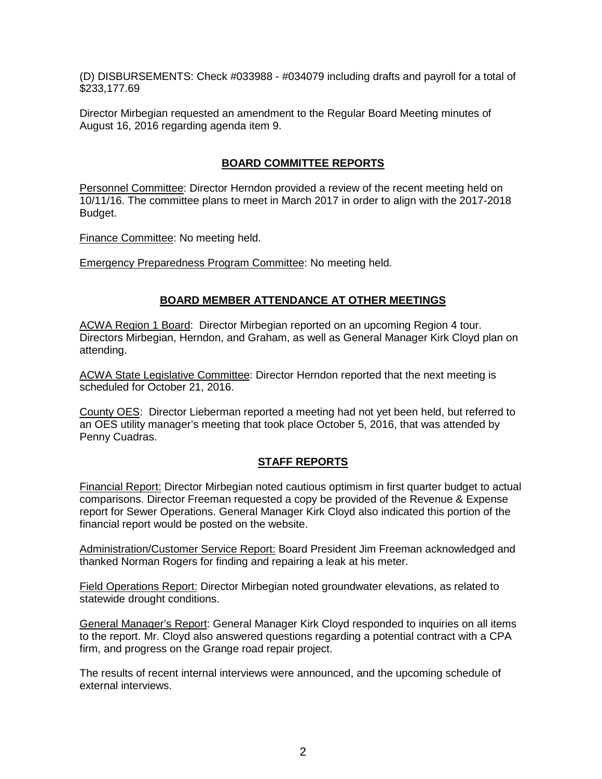(D) DISBURSEMENTS: Check #033988 - #034079 including drafts and payroll for a total of \$233,177.69

Director Mirbegian requested an amendment to the Regular Board Meeting minutes of August 16, 2016 regarding agenda item 9.

# **BOARD COMMITTEE REPORTS**

Personnel Committee: Director Herndon provided a review of the recent meeting held on 10/11/16. The committee plans to meet in March 2017 in order to align with the 2017-2018 Budget.

Finance Committee: No meeting held.

Emergency Preparedness Program Committee: No meeting held.

# **BOARD MEMBER ATTENDANCE AT OTHER MEETINGS**

ACWA Region 1 Board: Director Mirbegian reported on an upcoming Region 4 tour. Directors Mirbegian, Herndon, and Graham, as well as General Manager Kirk Cloyd plan on attending.

ACWA State Legislative Committee: Director Herndon reported that the next meeting is scheduled for October 21, 2016.

County OES: Director Lieberman reported a meeting had not yet been held, but referred to an OES utility manager's meeting that took place October 5, 2016, that was attended by Penny Cuadras.

# **STAFF REPORTS**

Financial Report: Director Mirbegian noted cautious optimism in first quarter budget to actual comparisons. Director Freeman requested a copy be provided of the Revenue & Expense report for Sewer Operations. General Manager Kirk Cloyd also indicated this portion of the financial report would be posted on the website.

Administration/Customer Service Report: Board President Jim Freeman acknowledged and thanked Norman Rogers for finding and repairing a leak at his meter.

Field Operations Report: Director Mirbegian noted groundwater elevations, as related to statewide drought conditions.

General Manager's Report: General Manager Kirk Cloyd responded to inquiries on all items to the report. Mr. Cloyd also answered questions regarding a potential contract with a CPA firm, and progress on the Grange road repair project.

The results of recent internal interviews were announced, and the upcoming schedule of external interviews.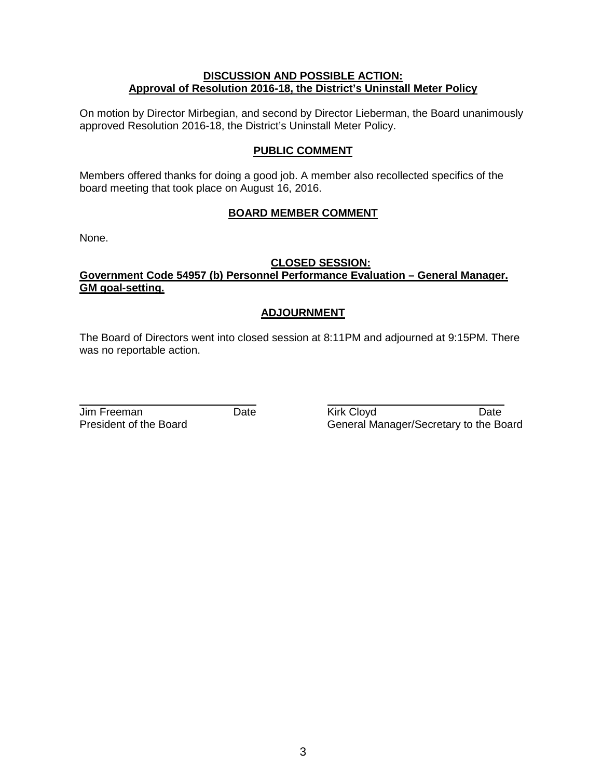### **DISCUSSION AND POSSIBLE ACTION: Approval of Resolution 2016-18, the District's Uninstall Meter Policy**

On motion by Director Mirbegian, and second by Director Lieberman, the Board unanimously approved Resolution 2016-18, the District's Uninstall Meter Policy.

# **PUBLIC COMMENT**

Members offered thanks for doing a good job. A member also recollected specifics of the board meeting that took place on August 16, 2016.

# **BOARD MEMBER COMMENT**

None.

# **CLOSED SESSION:**

# **Government Code 54957 (b) Personnel Performance Evaluation – General Manager. GM goal-setting.**

# **ADJOURNMENT**

The Board of Directors went into closed session at 8:11PM and adjourned at 9:15PM. There was no reportable action.

Jim Freeman Date Date Kirk Cloyd<br>President of the Board Date General Manager/Secretary to the Bo General Manager/Secretary to the Board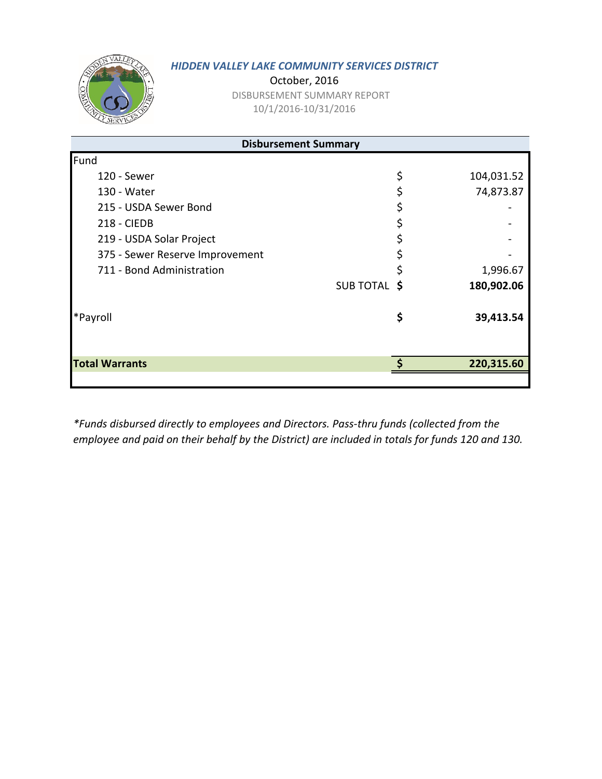

October, 2016

 DISBURSEMENT SUMMARY REPORT 10/1/2016-10/31/2016

| <b>Disbursement Summary</b>     |              |            |  |  |  |  |
|---------------------------------|--------------|------------|--|--|--|--|
| Fund                            |              |            |  |  |  |  |
| 120 - Sewer                     | \$           | 104,031.52 |  |  |  |  |
| 130 - Water                     |              | 74,873.87  |  |  |  |  |
| 215 - USDA Sewer Bond           |              |            |  |  |  |  |
| <b>218 - CIEDB</b>              |              |            |  |  |  |  |
| 219 - USDA Solar Project        |              |            |  |  |  |  |
| 375 - Sewer Reserve Improvement |              |            |  |  |  |  |
| 711 - Bond Administration       |              | 1,996.67   |  |  |  |  |
|                                 | SUB TOTAL \$ | 180,902.06 |  |  |  |  |
| *Payroll                        | \$           | 39,413.54  |  |  |  |  |
|                                 |              |            |  |  |  |  |
| <b>Total Warrants</b>           | Ŝ.           | 220,315.60 |  |  |  |  |
|                                 |              |            |  |  |  |  |

*\*Funds disbursed directly to employees and Directors. Pass-thru funds (collected from the employee and paid on their behalf by the District) are included in totals for funds 120 and 130.*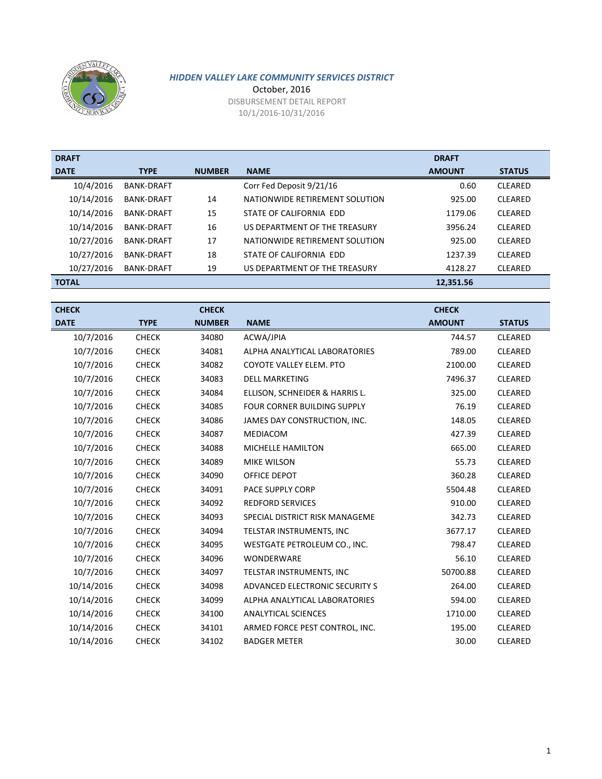

October, 2016 DISBURSEMENT DETAIL REPORT 10/1/2016-10/31/2016

| <b>DRAFT</b> |                   |               |                                | <b>DRAFT</b>  |                |
|--------------|-------------------|---------------|--------------------------------|---------------|----------------|
| <b>DATE</b>  | <b>TYPE</b>       | <b>NUMBER</b> | <b>NAME</b>                    | <b>AMOUNT</b> | <b>STATUS</b>  |
| 10/4/2016    | <b>BANK-DRAFT</b> |               | Corr Fed Deposit 9/21/16       | 0.60          | <b>CLEARED</b> |
| 10/14/2016   | <b>BANK-DRAFT</b> | 14            | NATIONWIDE RETIREMENT SOLUTION | 925.00        | <b>CLEARED</b> |
| 10/14/2016   | <b>BANK-DRAFT</b> | 15            | STATE OF CALIFORNIA EDD        | 1179.06       | <b>CLEARED</b> |
| 10/14/2016   | <b>BANK-DRAFT</b> | 16            | US DEPARTMENT OF THE TREASURY  | 3956.24       | <b>CLEARED</b> |
| 10/27/2016   | <b>BANK-DRAFT</b> | 17            | NATIONWIDE RETIREMENT SOLUTION | 925.00        | <b>CLEARED</b> |
| 10/27/2016   | <b>BANK-DRAFT</b> | 18            | STATE OF CALIFORNIA EDD        | 1237.39       | <b>CLEARED</b> |
| 10/27/2016   | <b>BANK-DRAFT</b> | 19            | US DEPARTMENT OF THE TREASURY  | 4128.27       | <b>CLEARED</b> |
| <b>TOTAL</b> |                   |               |                                | 12.351.56     |                |

| <b>CHECK</b> |              | <b>CHECK</b>  |                                    | <b>CHECK</b>  |                |
|--------------|--------------|---------------|------------------------------------|---------------|----------------|
| <b>DATE</b>  | <b>TYPE</b>  | <b>NUMBER</b> | <b>NAME</b>                        | <b>AMOUNT</b> | <b>STATUS</b>  |
| 10/7/2016    | <b>CHECK</b> | 34080         | ACWA/JPIA                          | 744.57        | <b>CLEARED</b> |
| 10/7/2016    | <b>CHECK</b> | 34081         | ALPHA ANALYTICAL LABORATORIES      | 789.00        | CLEARED        |
| 10/7/2016    | <b>CHECK</b> | 34082         | COYOTE VALLEY ELEM. PTO            | 2100.00       | CLEARED        |
| 10/7/2016    | <b>CHECK</b> | 34083         | <b>DELL MARKETING</b>              | 7496.37       | CLEARED        |
| 10/7/2016    | <b>CHECK</b> | 34084         | ELLISON, SCHNEIDER & HARRIS L.     | 325.00        | <b>CLEARED</b> |
| 10/7/2016    | <b>CHECK</b> | 34085         | <b>FOUR CORNER BUILDING SUPPLY</b> | 76.19         | CLEARED        |
| 10/7/2016    | <b>CHECK</b> | 34086         | JAMES DAY CONSTRUCTION, INC.       | 148.05        | CLEARED        |
| 10/7/2016    | <b>CHECK</b> | 34087         | <b>MEDIACOM</b>                    | 427.39        | CLEARED        |
| 10/7/2016    | <b>CHECK</b> | 34088         | MICHELLE HAMILTON                  | 665.00        | CLEARED        |
| 10/7/2016    | <b>CHECK</b> | 34089         | <b>MIKE WILSON</b>                 | 55.73         | CLEARED        |
| 10/7/2016    | <b>CHECK</b> | 34090         | OFFICE DEPOT                       | 360.28        | CLEARED        |
| 10/7/2016    | <b>CHECK</b> | 34091         | PACE SUPPLY CORP                   | 5504.48       | CLEARED        |
| 10/7/2016    | <b>CHECK</b> | 34092         | <b>REDFORD SERVICES</b>            | 910.00        | CLEARED        |
| 10/7/2016    | <b>CHECK</b> | 34093         | SPECIAL DISTRICT RISK MANAGEME     | 342.73        | <b>CLEARED</b> |
| 10/7/2016    | <b>CHECK</b> | 34094         | TELSTAR INSTRUMENTS, INC           | 3677.17       | CLEARED        |
| 10/7/2016    | <b>CHECK</b> | 34095         | WESTGATE PETROLEUM CO., INC.       | 798.47        | CLEARED        |
| 10/7/2016    | <b>CHECK</b> | 34096         | WONDERWARE                         | 56.10         | CLEARED        |
| 10/7/2016    | <b>CHECK</b> | 34097         | TELSTAR INSTRUMENTS, INC           | 50700.88      | CLEARED        |
| 10/14/2016   | <b>CHECK</b> | 34098         | ADVANCED ELECTRONIC SECURITY S     | 264.00        | CLEARED        |
| 10/14/2016   | <b>CHECK</b> | 34099         | ALPHA ANALYTICAL LABORATORIES      | 594.00        | CLEARED        |
| 10/14/2016   | <b>CHECK</b> | 34100         | <b>ANALYTICAL SCIENCES</b>         | 1710.00       | CLEARED        |
| 10/14/2016   | <b>CHECK</b> | 34101         | ARMED FORCE PEST CONTROL, INC.     | 195.00        | CLEARED        |
| 10/14/2016   | <b>CHECK</b> | 34102         | <b>BADGER METER</b>                | 30.00         | <b>CLEARED</b> |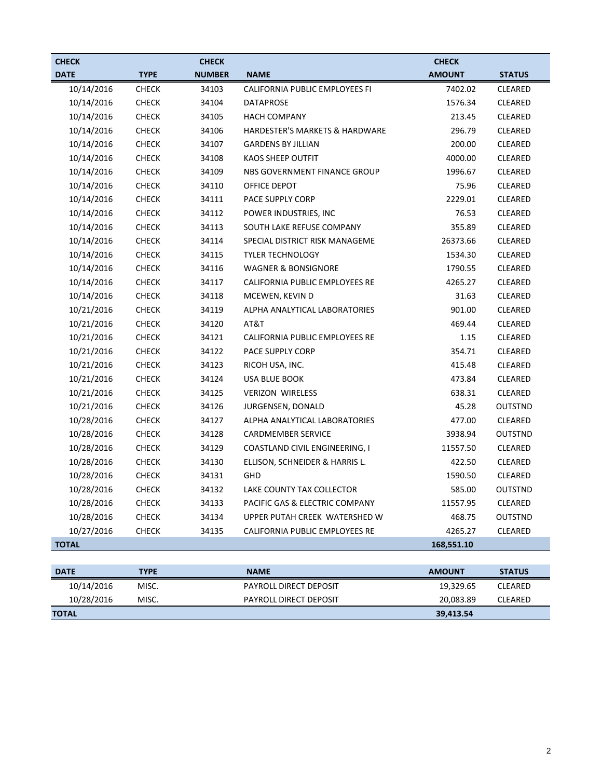| <b>CHECK</b> |              | <b>CHECK</b>  |                                       | <b>CHECK</b>  |                |
|--------------|--------------|---------------|---------------------------------------|---------------|----------------|
| <b>DATE</b>  | <b>TYPE</b>  | <b>NUMBER</b> | <b>NAME</b>                           | <b>AMOUNT</b> | <b>STATUS</b>  |
| 10/14/2016   | <b>CHECK</b> | 34103         | CALIFORNIA PUBLIC EMPLOYEES FI        | 7402.02       | CLEARED        |
| 10/14/2016   | <b>CHECK</b> | 34104         | <b>DATAPROSE</b>                      | 1576.34       | CLEARED        |
| 10/14/2016   | <b>CHECK</b> | 34105         | <b>HACH COMPANY</b>                   | 213.45        | <b>CLEARED</b> |
| 10/14/2016   | <b>CHECK</b> | 34106         | HARDESTER'S MARKETS & HARDWARE        | 296.79        | CLEARED        |
| 10/14/2016   | <b>CHECK</b> | 34107         | <b>GARDENS BY JILLIAN</b>             | 200.00        | CLEARED        |
| 10/14/2016   | <b>CHECK</b> | 34108         | <b>KAOS SHEEP OUTFIT</b>              | 4000.00       | CLEARED        |
| 10/14/2016   | <b>CHECK</b> | 34109         | NBS GOVERNMENT FINANCE GROUP          | 1996.67       | CLEARED        |
| 10/14/2016   | <b>CHECK</b> | 34110         | OFFICE DEPOT                          | 75.96         | CLEARED        |
| 10/14/2016   | <b>CHECK</b> | 34111         | PACE SUPPLY CORP                      | 2229.01       | CLEARED        |
| 10/14/2016   | <b>CHECK</b> | 34112         | POWER INDUSTRIES, INC                 | 76.53         | CLEARED        |
| 10/14/2016   | <b>CHECK</b> | 34113         | SOUTH LAKE REFUSE COMPANY             | 355.89        | CLEARED        |
| 10/14/2016   | <b>CHECK</b> | 34114         | SPECIAL DISTRICT RISK MANAGEME        | 26373.66      | CLEARED        |
| 10/14/2016   | <b>CHECK</b> | 34115         | <b>TYLER TECHNOLOGY</b>               | 1534.30       | CLEARED        |
| 10/14/2016   | <b>CHECK</b> | 34116         | <b>WAGNER &amp; BONSIGNORE</b>        | 1790.55       | CLEARED        |
| 10/14/2016   | <b>CHECK</b> | 34117         | CALIFORNIA PUBLIC EMPLOYEES RE        | 4265.27       | CLEARED        |
| 10/14/2016   | <b>CHECK</b> | 34118         | MCEWEN, KEVIN D                       | 31.63         | CLEARED        |
| 10/21/2016   | <b>CHECK</b> | 34119         | ALPHA ANALYTICAL LABORATORIES         | 901.00        | CLEARED        |
| 10/21/2016   | <b>CHECK</b> | 34120         | AT&T                                  | 469.44        | CLEARED        |
| 10/21/2016   | <b>CHECK</b> | 34121         | CALIFORNIA PUBLIC EMPLOYEES RE        | 1.15          | CLEARED        |
| 10/21/2016   | <b>CHECK</b> | 34122         | PACE SUPPLY CORP                      | 354.71        | CLEARED        |
| 10/21/2016   | <b>CHECK</b> | 34123         | RICOH USA, INC.                       | 415.48        | <b>CLEARED</b> |
| 10/21/2016   | <b>CHECK</b> | 34124         | USA BLUE BOOK                         | 473.84        | CLEARED        |
| 10/21/2016   | <b>CHECK</b> | 34125         | <b>VERIZON WIRELESS</b>               | 638.31        | CLEARED        |
| 10/21/2016   | <b>CHECK</b> | 34126         | JURGENSEN, DONALD                     | 45.28         | <b>OUTSTND</b> |
| 10/28/2016   | <b>CHECK</b> | 34127         | ALPHA ANALYTICAL LABORATORIES         | 477.00        | <b>CLEARED</b> |
| 10/28/2016   | <b>CHECK</b> | 34128         | <b>CARDMEMBER SERVICE</b>             | 3938.94       | <b>OUTSTND</b> |
| 10/28/2016   | <b>CHECK</b> | 34129         | COASTLAND CIVIL ENGINEERING, I        | 11557.50      | CLEARED        |
| 10/28/2016   | <b>CHECK</b> | 34130         | ELLISON, SCHNEIDER & HARRIS L.        | 422.50        | CLEARED        |
| 10/28/2016   | <b>CHECK</b> | 34131         | GHD                                   | 1590.50       | CLEARED        |
| 10/28/2016   | <b>CHECK</b> | 34132         | LAKE COUNTY TAX COLLECTOR             | 585.00        | <b>OUTSTND</b> |
| 10/28/2016   | <b>CHECK</b> | 34133         | PACIFIC GAS & ELECTRIC COMPANY        | 11557.95      | CLEARED        |
| 10/28/2016   | <b>CHECK</b> | 34134         | UPPER PUTAH CREEK WATERSHED W         | 468.75        | <b>OUTSTND</b> |
| 10/27/2016   | <b>CHECK</b> | 34135         | <b>CALIFORNIA PUBLIC EMPLOYEES RE</b> | 4265.27       | <b>CLEARED</b> |
| <b>TOTAL</b> |              |               |                                       | 168,551.10    |                |

| <b>DATE</b>  | <b>TYPE</b> | <b>NAME</b>            | <b>AMOUNT</b> | <b>STATUS</b>  |
|--------------|-------------|------------------------|---------------|----------------|
| 10/14/2016   | MISC.       | PAYROLL DIRECT DEPOSIT | 19.329.65     | CLEARED        |
| 10/28/2016   | MISC.       | PAYROLL DIRECT DEPOSIT | 20.083.89     | <b>CLEARED</b> |
| <b>TOTAL</b> |             |                        | 39,413.54     |                |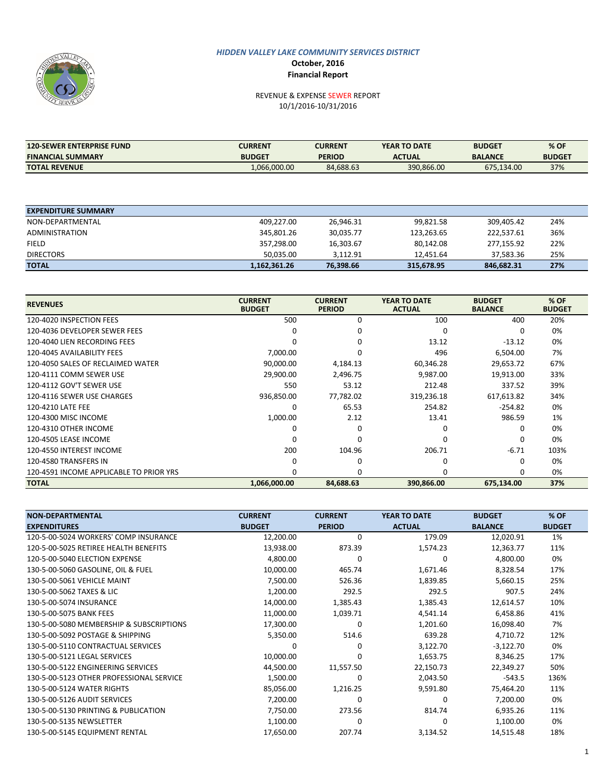

#### **October, 2016 Financial Report**

#### REVENUE & EXPENSE SEWER REPORT 10/1/2016-10/31/2016

| <b>120-SEWER ENTERPRISE FUND</b> | CURRENT       | <b>CURRENT</b> | <b>YEAR TO DATE</b> | <b>BUDGET</b>  | % OF          |
|----------------------------------|---------------|----------------|---------------------|----------------|---------------|
| <b>FINANCIAL SUMMARY</b>         | <b>BUDGET</b> | <b>PERIOD</b>  | <b>ACTUAL</b>       | <b>BALANCE</b> | <b>BUDGET</b> |
| <b>TOTAL REVENUE</b>             | 1,066,000.00  | 84.688.63      | 390.866.00          | 675.134.00     | 37%           |

| <b>EXPENDITURE SUMMARY</b> |              |           |            |            |     |
|----------------------------|--------------|-----------|------------|------------|-----|
| NON-DEPARTMENTAL           | 409,227.00   | 26,946.31 | 99,821.58  | 309,405.42 | 24% |
| ADMINISTRATION             | 345.801.26   | 30,035.77 | 123.263.65 | 222.537.61 | 36% |
| <b>FIELD</b>               | 357,298.00   | 16,303.67 | 80,142.08  | 277.155.92 | 22% |
| <b>DIRECTORS</b>           | 50.035.00    | 3.112.91  | 12.451.64  | 37.583.36  | 25% |
| <b>TOTAL</b>               | 1,162,361.26 | 76,398.66 | 315,678.95 | 846.682.31 | 27% |

| <b>REVENUES</b>                         | <b>CURRENT</b><br><b>BUDGET</b> | <b>CURRENT</b><br><b>PERIOD</b> | <b>YEAR TO DATE</b><br><b>ACTUAL</b> | <b>BUDGET</b><br><b>BALANCE</b> | % OF<br><b>BUDGET</b> |
|-----------------------------------------|---------------------------------|---------------------------------|--------------------------------------|---------------------------------|-----------------------|
| 120-4020 INSPECTION FEES                | 500                             | 0                               | 100                                  | 400                             | 20%                   |
| 120-4036 DEVELOPER SEWER FEES           | 0                               |                                 |                                      |                                 | 0%                    |
| 120-4040 LIEN RECORDING FEES            |                                 |                                 | 13.12                                | $-13.12$                        | 0%                    |
| 120-4045 AVAILABILITY FEES              | 7,000.00                        |                                 | 496                                  | 6,504.00                        | 7%                    |
| 120-4050 SALES OF RECLAIMED WATER       | 90,000.00                       | 4,184.13                        | 60,346.28                            | 29,653.72                       | 67%                   |
| 120-4111 COMM SEWER USE                 | 29,900.00                       | 2,496.75                        | 9,987.00                             | 19,913.00                       | 33%                   |
| 120-4112 GOV'T SEWER USE                | 550                             | 53.12                           | 212.48                               | 337.52                          | 39%                   |
| 120-4116 SEWER USE CHARGES              | 936,850.00                      | 77,782.02                       | 319,236.18                           | 617,613.82                      | 34%                   |
| 120-4210 LATE FEE                       | 0                               | 65.53                           | 254.82                               | $-254.82$                       | 0%                    |
| 120-4300 MISC INCOME                    | 1,000.00                        | 2.12                            | 13.41                                | 986.59                          | 1%                    |
| 120-4310 OTHER INCOME                   |                                 | 0                               |                                      |                                 | 0%                    |
| 120-4505 LEASE INCOME                   |                                 |                                 |                                      |                                 | 0%                    |
| 120-4550 INTEREST INCOME                | 200                             | 104.96                          | 206.71                               | $-6.71$                         | 103%                  |
| 120-4580 TRANSFERS IN                   | O                               | 0                               |                                      | 0                               | 0%                    |
| 120-4591 INCOME APPLICABLE TO PRIOR YRS |                                 | 0                               |                                      | 0                               | 0%                    |
| <b>TOTAL</b>                            | 1,066,000.00                    | 84,688.63                       | 390,866.00                           | 675,134.00                      | 37%                   |

| <b>NON-DEPARTMENTAL</b>                  | <b>CURRENT</b> | <b>CURRENT</b> | YEAR TO DATE  | <b>BUDGET</b>  | % OF          |
|------------------------------------------|----------------|----------------|---------------|----------------|---------------|
| <b>EXPENDITURES</b>                      | <b>BUDGET</b>  | <b>PERIOD</b>  | <b>ACTUAL</b> | <b>BALANCE</b> | <b>BUDGET</b> |
| 120-5-00-5024 WORKERS' COMP INSURANCE    | 12,200.00      | $\mathbf 0$    | 179.09        | 12,020.91      | 1%            |
| 120-5-00-5025 RETIREE HEALTH BENEFITS    | 13,938.00      | 873.39         | 1,574.23      | 12,363.77      | 11%           |
| 120-5-00-5040 ELECTION EXPENSE           | 4,800.00       | $\mathbf 0$    | $\Omega$      | 4,800.00       | 0%            |
| 130-5-00-5060 GASOLINE, OIL & FUEL       | 10,000.00      | 465.74         | 1,671.46      | 8,328.54       | 17%           |
| 130-5-00-5061 VEHICLE MAINT              | 7,500.00       | 526.36         | 1,839.85      | 5,660.15       | 25%           |
| 130-5-00-5062 TAXES & LIC                | 1,200.00       | 292.5          | 292.5         | 907.5          | 24%           |
| 130-5-00-5074 INSURANCE                  | 14,000.00      | 1,385.43       | 1,385.43      | 12,614.57      | 10%           |
| 130-5-00-5075 BANK FEES                  | 11,000.00      | 1,039.71       | 4,541.14      | 6,458.86       | 41%           |
| 130-5-00-5080 MEMBERSHIP & SUBSCRIPTIONS | 17,300.00      | $\mathbf 0$    | 1,201.60      | 16,098.40      | 7%            |
| 130-5-00-5092 POSTAGE & SHIPPING         | 5,350.00       | 514.6          | 639.28        | 4,710.72       | 12%           |
| 130-5-00-5110 CONTRACTUAL SERVICES       | $\Omega$       | $\mathbf 0$    | 3,122.70      | $-3,122.70$    | 0%            |
| 130-5-00-5121 LEGAL SERVICES             | 10,000.00      | $\Omega$       | 1,653.75      | 8,346.25       | 17%           |
| 130-5-00-5122 ENGINEERING SERVICES       | 44,500.00      | 11,557.50      | 22,150.73     | 22,349.27      | 50%           |
| 130-5-00-5123 OTHER PROFESSIONAL SERVICE | 1,500.00       | $\mathbf 0$    | 2,043.50      | $-543.5$       | 136%          |
| 130-5-00-5124 WATER RIGHTS               | 85,056.00      | 1,216.25       | 9,591.80      | 75,464.20      | 11%           |
| 130-5-00-5126 AUDIT SERVICES             | 7,200.00       | $\mathbf 0$    | $\Omega$      | 7,200.00       | 0%            |
| 130-5-00-5130 PRINTING & PUBLICATION     | 7,750.00       | 273.56         | 814.74        | 6,935.26       | 11%           |
| 130-5-00-5135 NEWSLETTER                 | 1,100.00       | $\Omega$       | $\Omega$      | 1,100.00       | 0%            |
| 130-5-00-5145 EQUIPMENT RENTAL           | 17,650.00      | 207.74         | 3,134.52      | 14,515.48      | 18%           |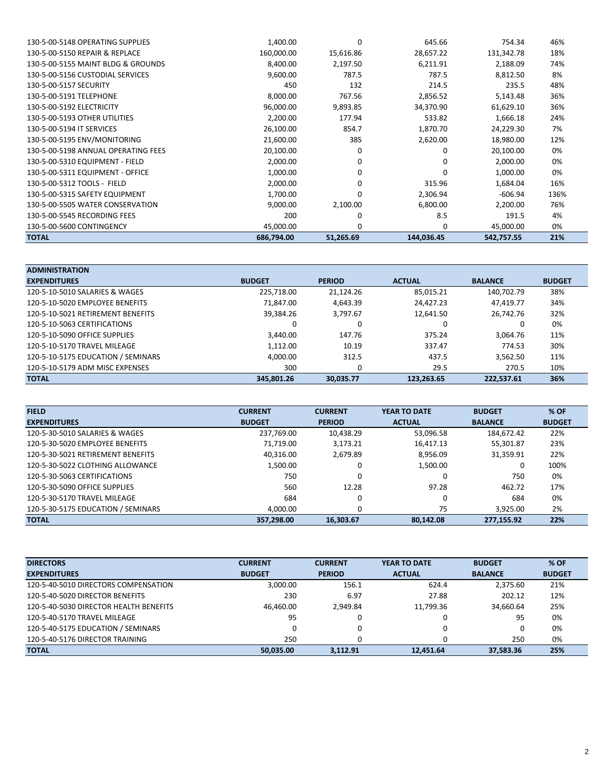| 130-5-00-5148 OPERATING SUPPLIES    | 1,400.00   | 0            | 645.66     | 754.34     | 46%  |
|-------------------------------------|------------|--------------|------------|------------|------|
| 130-5-00-5150 REPAIR & REPLACE      | 160,000.00 | 15,616.86    | 28,657.22  | 131,342.78 | 18%  |
| 130-5-00-5155 MAINT BLDG & GROUNDS  | 8,400.00   | 2,197.50     | 6,211.91   | 2,188.09   | 74%  |
| 130-5-00-5156 CUSTODIAL SERVICES    | 9,600.00   | 787.5        | 787.5      | 8,812.50   | 8%   |
| 130-5-00-5157 SECURITY              | 450        | 132          | 214.5      | 235.5      | 48%  |
| 130-5-00-5191 TELEPHONE             | 8,000.00   | 767.56       | 2,856.52   | 5,143.48   | 36%  |
| 130-5-00-5192 ELECTRICITY           | 96,000.00  | 9,893.85     | 34,370.90  | 61,629.10  | 36%  |
| 130-5-00-5193 OTHER UTILITIES       | 2,200.00   | 177.94       | 533.82     | 1,666.18   | 24%  |
| 130-5-00-5194 IT SERVICES           | 26,100.00  | 854.7        | 1,870.70   | 24,229.30  | 7%   |
| 130-5-00-5195 ENV/MONITORING        | 21,600.00  | 385          | 2,620.00   | 18,980.00  | 12%  |
| 130-5-00-5198 ANNUAL OPERATING FEES | 20,100.00  | 0            | 0          | 20,100.00  | 0%   |
| 130-5-00-5310 EQUIPMENT - FIELD     | 2,000.00   | $\mathbf{0}$ | 0          | 2,000.00   | 0%   |
| 130-5-00-5311 EQUIPMENT - OFFICE    | 1,000.00   | 0            | $\Omega$   | 1,000.00   | 0%   |
| 130-5-00-5312 TOOLS - FIELD         | 2,000.00   | $\mathbf{0}$ | 315.96     | 1,684.04   | 16%  |
| 130-5-00-5315 SAFETY EQUIPMENT      | 1,700.00   | $\Omega$     | 2,306.94   | $-606.94$  | 136% |
| 130-5-00-5505 WATER CONSERVATION    | 9,000.00   | 2,100.00     | 6,800.00   | 2,200.00   | 76%  |
| 130-5-00-5545 RECORDING FEES        | 200        | 0            | 8.5        | 191.5      | 4%   |
| 130-5-00-5600 CONTINGENCY           | 45,000.00  | 0            | $\Omega$   | 45,000.00  | 0%   |
| <b>TOTAL</b>                        | 686,794.00 | 51,265.69    | 144,036.45 | 542,757.55 | 21%  |

| <b>ADMINISTRATION</b>              |               |               |               |                |               |
|------------------------------------|---------------|---------------|---------------|----------------|---------------|
| <b>EXPENDITURES</b>                | <b>BUDGET</b> | <b>PERIOD</b> | <b>ACTUAL</b> | <b>BALANCE</b> | <b>BUDGET</b> |
| 120-5-10-5010 SALARIES & WAGES     | 225,718.00    | 21,124.26     | 85,015.21     | 140,702.79     | 38%           |
| 120-5-10-5020 EMPLOYEE BENEFITS    | 71.847.00     | 4,643.39      | 24,427.23     | 47,419.77      | 34%           |
| 120-5-10-5021 RETIREMENT BENEFITS  | 39,384.26     | 3,797.67      | 12,641.50     | 26.742.76      | 32%           |
| 120-5-10-5063 CERTIFICATIONS       | 0             | 0             |               | 0              | 0%            |
| 120-5-10-5090 OFFICE SUPPLIES      | 3,440.00      | 147.76        | 375.24        | 3,064.76       | 11%           |
| 120-5-10-5170 TRAVEL MILEAGE       | 1,112.00      | 10.19         | 337.47        | 774.53         | 30%           |
| 120-5-10-5175 EDUCATION / SEMINARS | 4,000.00      | 312.5         | 437.5         | 3,562.50       | 11%           |
| 120-5-10-5179 ADM MISC EXPENSES    | 300           | 0             | 29.5          | 270.5          | 10%           |
| <b>TOTAL</b>                       | 345,801.26    | 30,035.77     | 123,263.65    | 222,537.61     | 36%           |

| <b>FIELD</b>                       | <b>CURRENT</b> | <b>CURRENT</b> | YEAR TO DATE  | <b>BUDGET</b>  | % OF          |
|------------------------------------|----------------|----------------|---------------|----------------|---------------|
| <b>EXPENDITURES</b>                | <b>BUDGET</b>  | <b>PERIOD</b>  | <b>ACTUAL</b> | <b>BALANCE</b> | <b>BUDGET</b> |
| 120-5-30-5010 SALARIES & WAGES     | 237,769.00     | 10,438.29      | 53,096.58     | 184,672.42     | 22%           |
| 120-5-30-5020 EMPLOYEE BENEFITS    | 71,719.00      | 3,173.21       | 16,417.13     | 55,301.87      | 23%           |
| 120-5-30-5021 RETIREMENT BENEFITS  | 40.316.00      | 2,679.89       | 8,956.09      | 31,359.91      | 22%           |
| 120-5-30-5022 CLOTHING ALLOWANCE   | 1,500.00       |                | 1,500.00      |                | 100%          |
| 120-5-30-5063 CERTIFICATIONS       | 750            | 0              | $\Omega$      | 750            | 0%            |
| 120-5-30-5090 OFFICE SUPPLIES      | 560            | 12.28          | 97.28         | 462.72         | 17%           |
| 120-5-30-5170 TRAVEL MILEAGE       | 684            |                | $\Omega$      | 684            | 0%            |
| 120-5-30-5175 EDUCATION / SEMINARS | 4.000.00       |                | 75            | 3,925.00       | 2%            |
| <b>TOTAL</b>                       | 357,298.00     | 16,303.67      | 80,142.08     | 277,155.92     | 22%           |

| <b>DIRECTORS</b>                       | <b>CURRENT</b> | <b>CURRENT</b> | YEAR TO DATE  | <b>BUDGET</b>  | % OF          |
|----------------------------------------|----------------|----------------|---------------|----------------|---------------|
| <b>EXPENDITURES</b>                    | <b>BUDGET</b>  | <b>PERIOD</b>  | <b>ACTUAL</b> | <b>BALANCE</b> | <b>BUDGET</b> |
| 120-5-40-5010 DIRECTORS COMPENSATION   | 3,000.00       | 156.1          | 624.4         | 2,375.60       | 21%           |
| 120-5-40-5020 DIRECTOR BENEFITS        | 230            | 6.97           | 27.88         | 202.12         | 12%           |
| 120-5-40-5030 DIRECTOR HEALTH BENEFITS | 46.460.00      | 2.949.84       | 11.799.36     | 34.660.64      | 25%           |
| 120-5-40-5170 TRAVEL MILEAGE           | 95             |                |               | 95             | 0%            |
| 120-5-40-5175 EDUCATION / SEMINARS     |                |                |               |                | 0%            |
| 120-5-40-5176 DIRECTOR TRAINING        | 250            |                |               | 250            | 0%            |
| <b>TOTAL</b>                           | 50.035.00      | 3.112.91       | 12.451.64     | 37,583.36      | 25%           |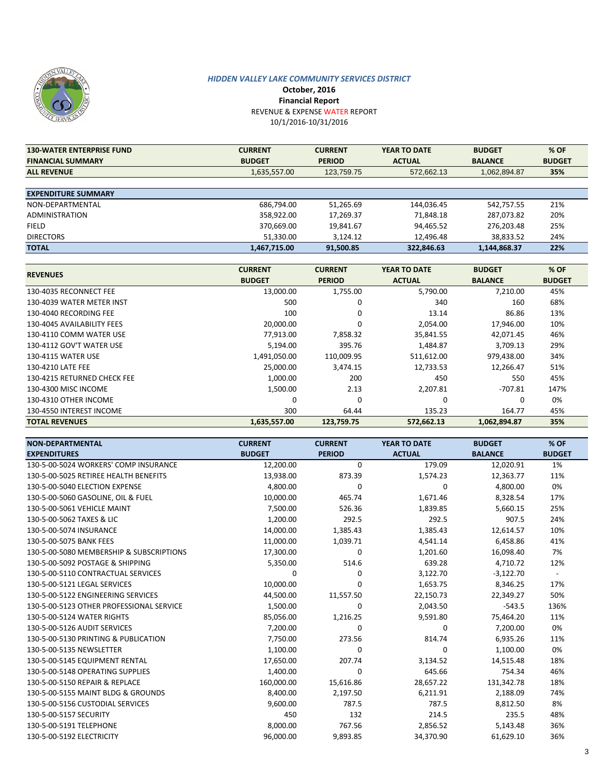

**October, 2016 Financial Report** REVENUE & EXPENSE WATER REPORT 10/1/2016-10/31/2016

| <b>130-WATER ENTERPRISE FUND</b> | <b>CURRENT</b> | <b>CURRENT</b> | YEAR TO DATE  | <b>BUDGET</b>  | % OF          |
|----------------------------------|----------------|----------------|---------------|----------------|---------------|
| <b>FINANCIAL SUMMARY</b>         | <b>BUDGET</b>  | <b>PERIOD</b>  | <b>ACTUAL</b> | <b>BALANCE</b> | <b>BUDGET</b> |
| <b>ALL REVENUE</b>               | 1,635,557.00   | 123,759.75     | 572,662.13    | 1,062,894.87   | 35%           |
|                                  |                |                |               |                |               |
| <b>EXPENDITURE SUMMARY</b>       |                |                |               |                |               |
| NON-DEPARTMENTAL                 | 686,794.00     | 51,265.69      | 144,036.45    | 542,757.55     | 21%           |
| <b>ADMINISTRATION</b>            | 358,922.00     | 17,269.37      | 71,848.18     | 287,073.82     | 20%           |
| <b>FIELD</b>                     | 370,669.00     | 19,841.67      | 94,465.52     | 276,203.48     | 25%           |
| <b>DIRECTORS</b>                 | 51,330.00      | 3,124.12       | 12,496.48     | 38,833.52      | 24%           |
| <b>TOTAL</b>                     | 1,467,715.00   | 91,500.85      | 322,846.63    | 1,144,868.37   | 22%           |

| <b>REVENUES</b>             | <b>CURRENT</b> | <b>CURRENT</b> | YEAR TO DATE  | <b>BUDGET</b>  | % OF          |
|-----------------------------|----------------|----------------|---------------|----------------|---------------|
|                             | <b>BUDGET</b>  | <b>PERIOD</b>  | <b>ACTUAL</b> | <b>BALANCE</b> | <b>BUDGET</b> |
| 130-4035 RECONNECT FEE      | 13,000.00      | 1,755.00       | 5,790.00      | 7,210.00       | 45%           |
| 130-4039 WATER METER INST   | 500            | 0              | 340           | 160            | 68%           |
| 130-4040 RECORDING FEE      | 100            | 0              | 13.14         | 86.86          | 13%           |
| 130-4045 AVAILABILITY FEES  | 20,000.00      | 0              | 2,054.00      | 17,946.00      | 10%           |
| 130-4110 COMM WATER USE     | 77.913.00      | 7,858.32       | 35.841.55     | 42.071.45      | 46%           |
| 130-4112 GOV'T WATER USE    | 5,194.00       | 395.76         | 1,484.87      | 3.709.13       | 29%           |
| 130-4115 WATER USE          | 1,491,050.00   | 110,009.95     | 511,612.00    | 979,438.00     | 34%           |
| 130-4210 LATE FEE           | 25,000.00      | 3,474.15       | 12,733.53     | 12,266.47      | 51%           |
| 130-4215 RETURNED CHECK FEE | 1,000.00       | 200            | 450           | 550            | 45%           |
| 130-4300 MISC INCOME        | 1,500.00       | 2.13           | 2,207.81      | $-707.81$      | 147%          |
| 130-4310 OTHER INCOME       | $\Omega$       | 0              | $\Omega$      | 0              | 0%            |
| 130-4550 INTEREST INCOME    | 300            | 64.44          | 135.23        | 164.77         | 45%           |
| <b>TOTAL REVENUES</b>       | 1,635,557.00   | 123.759.75     | 572.662.13    | 1,062,894.87   | 35%           |

| <b>NON-DEPARTMENTAL</b>                  | <b>CURRENT</b> | <b>CURRENT</b> | YEAR TO DATE  | <b>BUDGET</b>  | % OF          |
|------------------------------------------|----------------|----------------|---------------|----------------|---------------|
| <b>EXPENDITURES</b>                      | <b>BUDGET</b>  | <b>PERIOD</b>  | <b>ACTUAL</b> | <b>BALANCE</b> | <b>BUDGET</b> |
| 130-5-00-5024 WORKERS' COMP INSURANCE    | 12,200.00      | $\Omega$       | 179.09        | 12,020.91      | 1%            |
| 130-5-00-5025 RETIREE HEALTH BENEFITS    | 13,938.00      | 873.39         | 1,574.23      | 12,363.77      | 11%           |
| 130-5-00-5040 ELECTION EXPENSE           | 4,800.00       | 0              | 0             | 4,800.00       | 0%            |
| 130-5-00-5060 GASOLINE, OIL & FUEL       | 10,000.00      | 465.74         | 1,671.46      | 8,328.54       | 17%           |
| 130-5-00-5061 VEHICLE MAINT              | 7,500.00       | 526.36         | 1,839.85      | 5,660.15       | 25%           |
| 130-5-00-5062 TAXES & LIC                | 1,200.00       | 292.5          | 292.5         | 907.5          | 24%           |
| 130-5-00-5074 INSURANCE                  | 14,000.00      | 1,385.43       | 1,385.43      | 12,614.57      | 10%           |
| 130-5-00-5075 BANK FEES                  | 11,000.00      | 1,039.71       | 4,541.14      | 6,458.86       | 41%           |
| 130-5-00-5080 MEMBERSHIP & SUBSCRIPTIONS | 17,300.00      | $\Omega$       | 1,201.60      | 16,098.40      | 7%            |
| 130-5-00-5092 POSTAGE & SHIPPING         | 5,350.00       | 514.6          | 639.28        | 4,710.72       | 12%           |
| 130-5-00-5110 CONTRACTUAL SERVICES       | 0              | 0              | 3,122.70      | $-3,122.70$    |               |
| 130-5-00-5121 LEGAL SERVICES             | 10,000.00      | 0              | 1,653.75      | 8,346.25       | 17%           |
| 130-5-00-5122 ENGINEERING SERVICES       | 44,500.00      | 11,557.50      | 22,150.73     | 22,349.27      | 50%           |
| 130-5-00-5123 OTHER PROFESSIONAL SERVICE | 1,500.00       | 0              | 2,043.50      | $-543.5$       | 136%          |
| 130-5-00-5124 WATER RIGHTS               | 85,056.00      | 1,216.25       | 9,591.80      | 75,464.20      | 11%           |
| 130-5-00-5126 AUDIT SERVICES             | 7,200.00       | $\mathbf 0$    | $\Omega$      | 7,200.00       | 0%            |
| 130-5-00-5130 PRINTING & PUBLICATION     | 7,750.00       | 273.56         | 814.74        | 6,935.26       | 11%           |
| 130-5-00-5135 NEWSLETTER                 | 1,100.00       | $\Omega$       | $\Omega$      | 1,100.00       | 0%            |
| 130-5-00-5145 EQUIPMENT RENTAL           | 17,650.00      | 207.74         | 3,134.52      | 14,515.48      | 18%           |
| 130-5-00-5148 OPERATING SUPPLIES         | 1,400.00       | 0              | 645.66        | 754.34         | 46%           |
| 130-5-00-5150 REPAIR & REPLACE           | 160,000.00     | 15,616.86      | 28,657.22     | 131,342.78     | 18%           |
| 130-5-00-5155 MAINT BLDG & GROUNDS       | 8,400.00       | 2,197.50       | 6,211.91      | 2,188.09       | 74%           |
| 130-5-00-5156 CUSTODIAL SERVICES         | 9,600.00       | 787.5          | 787.5         | 8,812.50       | 8%            |
| 130-5-00-5157 SECURITY                   | 450            | 132            | 214.5         | 235.5          | 48%           |
| 130-5-00-5191 TELEPHONE                  | 8,000.00       | 767.56         | 2,856.52      | 5,143.48       | 36%           |
| 130-5-00-5192 ELECTRICITY                | 96.000.00      | 9,893.85       | 34,370.90     | 61,629.10      | 36%           |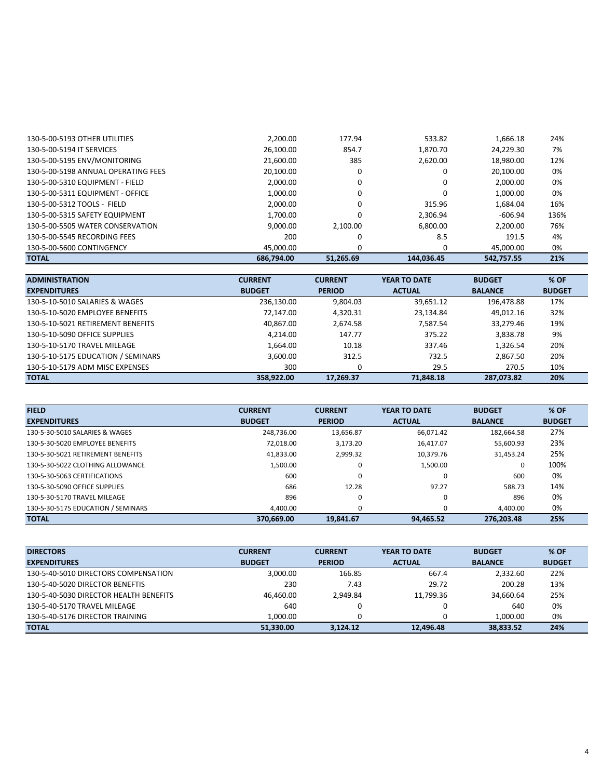| <b>TOTAL</b>                        | 686.794.00 | 51,265.69 | 144.036.45 | 542.757.55 | 21%  |
|-------------------------------------|------------|-----------|------------|------------|------|
| 130-5-00-5600 CONTINGENCY           | 45.000.00  |           | 0          | 45.000.00  | 0%   |
| 130-5-00-5545 RECORDING FEES        | 200        |           | 8.5        | 191.5      | 4%   |
| 130-5-00-5505 WATER CONSERVATION    | 9.000.00   | 2.100.00  | 6.800.00   | 2.200.00   | 76%  |
| 130-5-00-5315 SAFETY EQUIPMENT      | 1.700.00   | 0         | 2.306.94   | -606.94    | 136% |
| 130-5-00-5312 TOOLS - FIELD         | 2.000.00   | 0         | 315.96     | 1,684.04   | 16%  |
| 130-5-00-5311 EQUIPMENT - OFFICE    | 1.000.00   | 0         |            | 1.000.00   | 0%   |
| 130-5-00-5310 EQUIPMENT - FIELD     | 2.000.00   | 0         | 0          | 2.000.00   | 0%   |
| 130-5-00-5198 ANNUAL OPERATING FEES | 20.100.00  | 0         | 0          | 20.100.00  | 0%   |
| 130-5-00-5195 ENV/MONITORING        | 21.600.00  | 385       | 2.620.00   | 18.980.00  | 12%  |
| 130-5-00-5194 IT SERVICES           | 26.100.00  | 854.7     | 1.870.70   | 24.229.30  | 7%   |
| 130-5-00-5193 OTHER UTILITIES       | 2.200.00   | 177.94    | 533.82     | 1,666.18   | 24%  |

| <b>ADMINISTRATION</b>              | <b>CURRENT</b> | <b>CURRENT</b> | <b>YEAR TO DATE</b> | <b>BUDGET</b>  | % OF          |
|------------------------------------|----------------|----------------|---------------------|----------------|---------------|
| <b>EXPENDITURES</b>                | <b>BUDGET</b>  | <b>PERIOD</b>  | <b>ACTUAL</b>       | <b>BALANCE</b> | <b>BUDGET</b> |
| 130-5-10-5010 SALARIES & WAGES     | 236.130.00     | 9.804.03       | 39,651.12           | 196,478.88     | 17%           |
| 130-5-10-5020 EMPLOYEE BENEFITS    | 72.147.00      | 4.320.31       | 23.134.84           | 49.012.16      | 32%           |
| 130-5-10-5021 RETIREMENT BENEFITS  | 40.867.00      | 2,674.58       | 7.587.54            | 33.279.46      | 19%           |
| 130-5-10-5090 OFFICE SUPPLIES      | 4.214.00       | 147.77         | 375.22              | 3,838.78       | 9%            |
| 130-5-10-5170 TRAVEL MILEAGE       | 1,664.00       | 10.18          | 337.46              | 1.326.54       | 20%           |
| 130-5-10-5175 EDUCATION / SEMINARS | 3.600.00       | 312.5          | 732.5               | 2.867.50       | 20%           |
| 130-5-10-5179 ADM MISC EXPENSES    | 300            |                | 29.5                | 270.5          | 10%           |
| <b>TOTAL</b>                       | 358.922.00     | 17,269.37      | 71,848.18           | 287,073.82     | 20%           |

| <b>FIELD</b>                       | <b>CURRENT</b> | <b>CURRENT</b> | YEAR TO DATE  | <b>BUDGET</b>  | % OF          |
|------------------------------------|----------------|----------------|---------------|----------------|---------------|
| <b>EXPENDITURES</b>                | <b>BUDGET</b>  | <b>PERIOD</b>  | <b>ACTUAL</b> | <b>BALANCE</b> | <b>BUDGET</b> |
| 130-5-30-5010 SALARIES & WAGES     | 248.736.00     | 13,656.87      | 66,071.42     | 182,664.58     | 27%           |
| 130-5-30-5020 EMPLOYEE BENEFITS    | 72.018.00      | 3.173.20       | 16.417.07     | 55.600.93      | 23%           |
| 130-5-30-5021 RETIREMENT BENEFITS  | 41.833.00      | 2.999.32       | 10.379.76     | 31,453.24      | 25%           |
| 130-5-30-5022 CLOTHING ALLOWANCE   | 1,500.00       | 0              | 1,500.00      | 0              | 100%          |
| 130-5-30-5063 CERTIFICATIONS       | 600            | 0              | 0             | 600            | 0%            |
| 130-5-30-5090 OFFICE SUPPLIES      | 686            | 12.28          | 97.27         | 588.73         | 14%           |
| 130-5-30-5170 TRAVEL MILEAGE       | 896            | 0              | 0             | 896            | 0%            |
| 130-5-30-5175 EDUCATION / SEMINARS | 4,400.00       |                | 0             | 4,400.00       | 0%            |
| <b>TOTAL</b>                       | 370.669.00     | 19,841.67      | 94,465.52     | 276.203.48     | 25%           |

| <b>DIRECTORS</b>                       | <b>CURRENT</b> | <b>CURRENT</b> | YEAR TO DATE  | <b>BUDGET</b>  | % OF          |
|----------------------------------------|----------------|----------------|---------------|----------------|---------------|
| <b>EXPENDITURES</b>                    | <b>BUDGET</b>  | <b>PERIOD</b>  | <b>ACTUAL</b> | <b>BALANCE</b> | <b>BUDGET</b> |
| 130-5-40-5010 DIRECTORS COMPENSATION   | 3,000.00       | 166.85         | 667.4         | 2.332.60       | 22%           |
| 130-5-40-5020 DIRECTOR BENEFTIS        | 230            | 7.43           | 29.72         | 200.28         | 13%           |
| 130-5-40-5030 DIRECTOR HEALTH BENEFITS | 46.460.00      | 2.949.84       | 11.799.36     | 34.660.64      | 25%           |
| 130-5-40-5170 TRAVEL MILEAGE           | 640            |                |               | 640            | 0%            |
| 130-5-40-5176 DIRECTOR TRAINING        | 1.000.00       |                |               | 1.000.00       | 0%            |
| <b>TOTAL</b>                           | 51.330.00      | 3.124.12       | 12.496.48     | 38.833.52      | 24%           |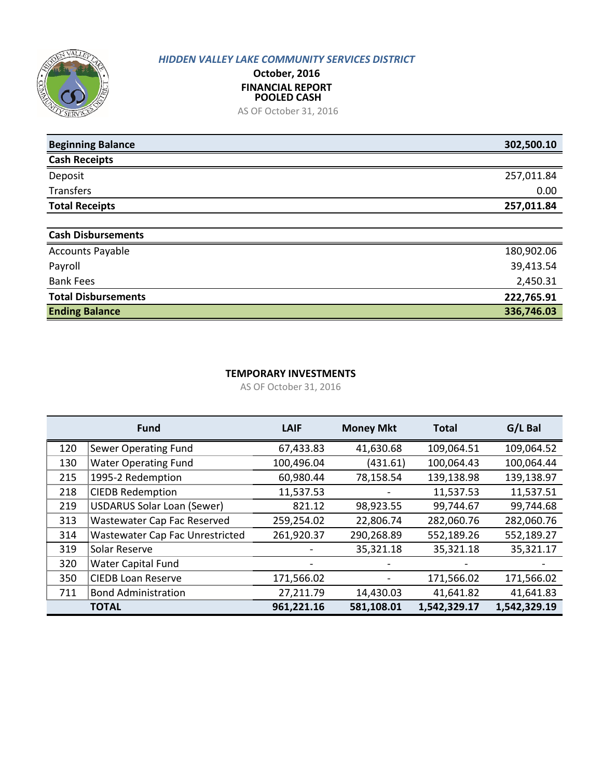

### **POOLED CASH October, 2016 FINANCIAL REPORT**

AS OF October 31, 2016

| <b>Beginning Balance</b>   | 302,500.10 |
|----------------------------|------------|
| <b>Cash Receipts</b>       |            |
| Deposit                    | 257,011.84 |
| <b>Transfers</b>           | 0.00       |
| <b>Total Receipts</b>      | 257,011.84 |
|                            |            |
| <b>Cash Disbursements</b>  |            |
| <b>Accounts Payable</b>    | 180,902.06 |
| Payroll                    | 39,413.54  |
| <b>Bank Fees</b>           | 2,450.31   |
| <b>Total Disbursements</b> | 222,765.91 |
| <b>Ending Balance</b>      | 336,746.03 |

### **TEMPORARY INVESTMENTS**

AS OF October 31, 2016

|     | <b>Fund</b>                       | <b>LAIF</b> | <b>Money Mkt</b> | <b>Total</b> | G/L Bal      |
|-----|-----------------------------------|-------------|------------------|--------------|--------------|
| 120 | <b>Sewer Operating Fund</b>       | 67,433.83   | 41,630.68        | 109,064.51   | 109,064.52   |
| 130 | <b>Water Operating Fund</b>       | 100,496.04  | (431.61)         | 100,064.43   | 100,064.44   |
| 215 | 1995-2 Redemption                 | 60,980.44   | 78,158.54        | 139,138.98   | 139,138.97   |
| 218 | <b>CIEDB Redemption</b>           | 11,537.53   |                  | 11,537.53    | 11,537.51    |
| 219 | <b>USDARUS Solar Loan (Sewer)</b> | 821.12      | 98,923.55        | 99,744.67    | 99,744.68    |
| 313 | Wastewater Cap Fac Reserved       | 259,254.02  | 22,806.74        | 282,060.76   | 282,060.76   |
| 314 | Wastewater Cap Fac Unrestricted   | 261,920.37  | 290,268.89       | 552,189.26   | 552,189.27   |
| 319 | Solar Reserve                     |             | 35,321.18        | 35,321.18    | 35,321.17    |
| 320 | <b>Water Capital Fund</b>         |             |                  |              |              |
| 350 | <b>CIEDB Loan Reserve</b>         | 171,566.02  |                  | 171,566.02   | 171,566.02   |
| 711 | <b>Bond Administration</b>        | 27,211.79   | 14,430.03        | 41,641.82    | 41,641.83    |
|     | <b>TOTAL</b>                      | 961,221.16  | 581,108.01       | 1,542,329.17 | 1,542,329.19 |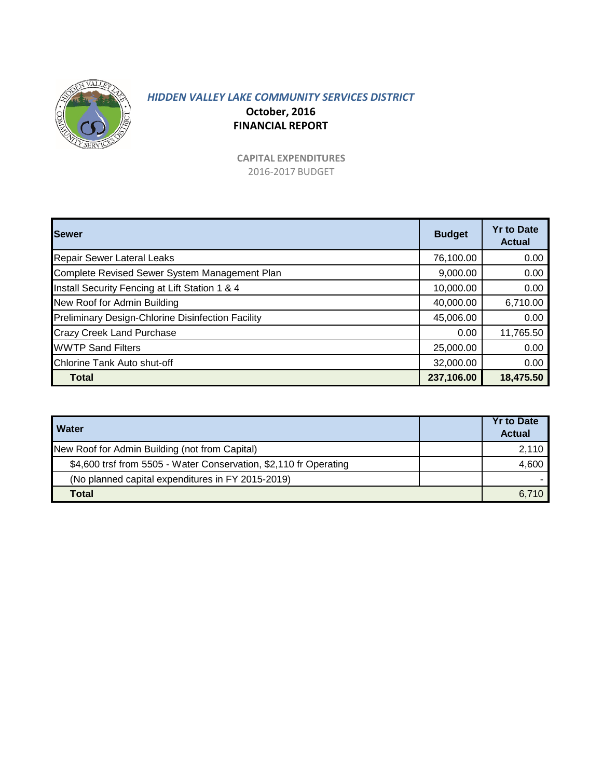

# **October, 2016 FINANCIAL REPORT**

**CAPITAL EXPENDITURES**  2016-2017 BUDGET

| <b>Sewer</b>                                      | <b>Budget</b> | <b>Yr to Date</b><br><b>Actual</b> |
|---------------------------------------------------|---------------|------------------------------------|
| <b>Repair Sewer Lateral Leaks</b>                 | 76,100.00     | $0.00\,$                           |
| Complete Revised Sewer System Management Plan     | 9,000.00      | 0.00                               |
| Install Security Fencing at Lift Station 1 & 4    | 10,000.00     | 0.00                               |
| New Roof for Admin Building                       | 40,000.00     | 6,710.00                           |
| Preliminary Design-Chlorine Disinfection Facility | 45,006.00     | 0.00                               |
| <b>Crazy Creek Land Purchase</b>                  | 0.00          | 11,765.50                          |
| <b>WWTP Sand Filters</b>                          | 25,000.00     | 0.00                               |
| Chlorine Tank Auto shut-off                       | 32,000.00     | 0.00                               |
| <b>Total</b>                                      | 237,106.00    | 18,475.50                          |

| Water                                                             | <b>Yr to Date</b><br><b>Actual</b> |
|-------------------------------------------------------------------|------------------------------------|
| New Roof for Admin Building (not from Capital)                    | 2.110                              |
| \$4,600 trsf from 5505 - Water Conservation, \$2,110 fr Operating | 4,600                              |
| (No planned capital expenditures in FY 2015-2019)                 |                                    |
| Total                                                             |                                    |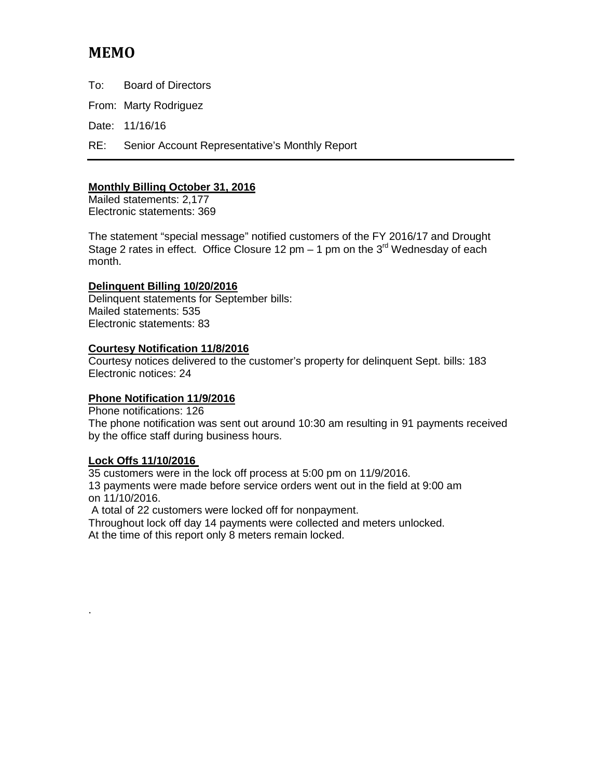# **MEMO**

To: Board of Directors

From: Marty Rodriguez

Date: 11/16/16

RE: Senior Account Representative's Monthly Report

# **Monthly Billing October 31, 2016**

Mailed statements: 2,177 Electronic statements: 369

The statement "special message" notified customers of the FY 2016/17 and Drought Stage 2 rates in effect. Office Closure 12 pm – 1 pm on the  $3<sup>rd</sup>$  Wednesday of each month.

# **Delinquent Billing 10/20/2016**

Delinquent statements for September bills: Mailed statements: 535 Electronic statements: 83

# **Courtesy Notification 11/8/2016**

Courtesy notices delivered to the customer's property for delinquent Sept. bills: 183 Electronic notices: 24

# **Phone Notification 11/9/2016**

Phone notifications: 126 The phone notification was sent out around 10:30 am resulting in 91 payments received by the office staff during business hours.

# **Lock Offs 11/10/2016**

.

35 customers were in the lock off process at 5:00 pm on 11/9/2016. 13 payments were made before service orders went out in the field at 9:00 am on 11/10/2016.

A total of 22 customers were locked off for nonpayment.

Throughout lock off day 14 payments were collected and meters unlocked.

At the time of this report only 8 meters remain locked.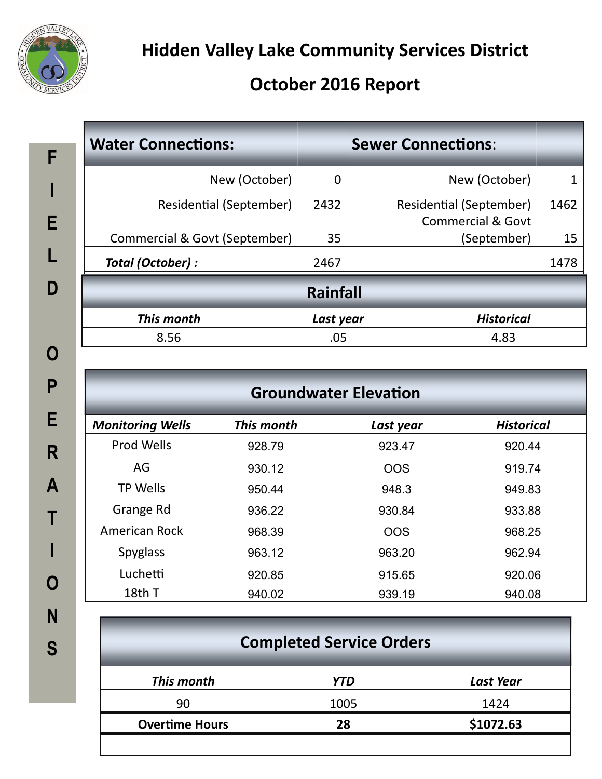

**F** 

# **October 2016 Report**

| <b>Water Connections:</b>     |                 | <b>Sewer Connections:</b>                               |      |
|-------------------------------|-----------------|---------------------------------------------------------|------|
| New (October)                 | 0               | New (October)                                           |      |
| Residential (September)       | 2432            | Residential (September)<br><b>Commercial &amp; Govt</b> | 1462 |
| Commercial & Govt (September) | 35              | (September)                                             | 15   |
| Total (October) :             | 2467            |                                                         | 1478 |
|                               | <b>Rainfall</b> |                                                         |      |
| This month                    | Last year       | <b>Historical</b>                                       |      |
| 8.56                          | .05             | 4.83                                                    |      |

| <b>Groundwater Elevation</b> |            |            |                   |  |
|------------------------------|------------|------------|-------------------|--|
| <b>Monitoring Wells</b>      | This month | Last year  | <b>Historical</b> |  |
| Prod Wells                   | 928.79     | 923.47     | 920.44            |  |
| AG                           | 930.12     | <b>OOS</b> | 919.74            |  |
| <b>TP Wells</b>              | 950.44     | 948.3      | 949.83            |  |
| Grange Rd                    | 936.22     | 930.84     | 933.88            |  |
| <b>American Rock</b>         | 968.39     | <b>OOS</b> | 968.25            |  |
| <b>Spyglass</b>              | 963.12     | 963.20     | 962.94            |  |
| Luchetti                     | 920.85     | 915.65     | 920.06            |  |
| 18th T                       | 940.02     | 939.19     | 940.08            |  |

| <b>Completed Service Orders</b> |      |           |  |  |
|---------------------------------|------|-----------|--|--|
| This month                      | YTD  | Last Year |  |  |
| 90                              | 1005 | 1424      |  |  |
| <b>Overtime Hours</b>           | 28   | \$1072.63 |  |  |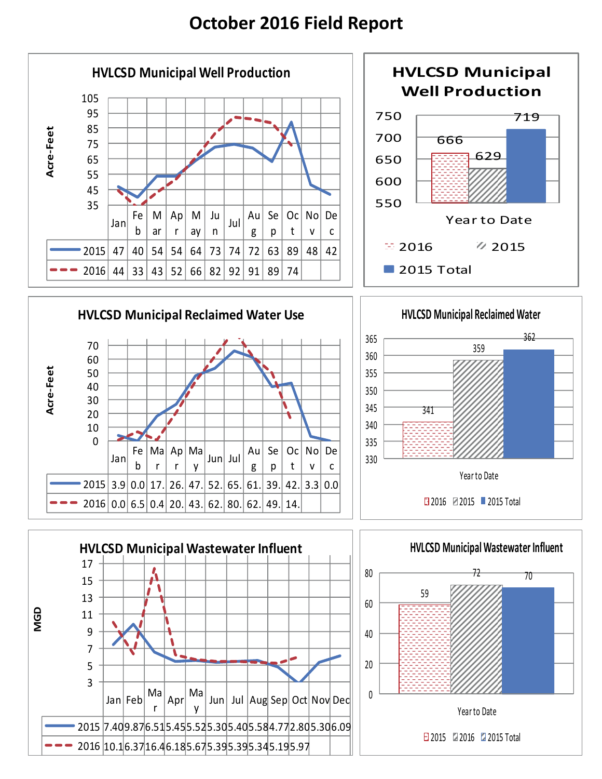# **October 2016 Field Report**

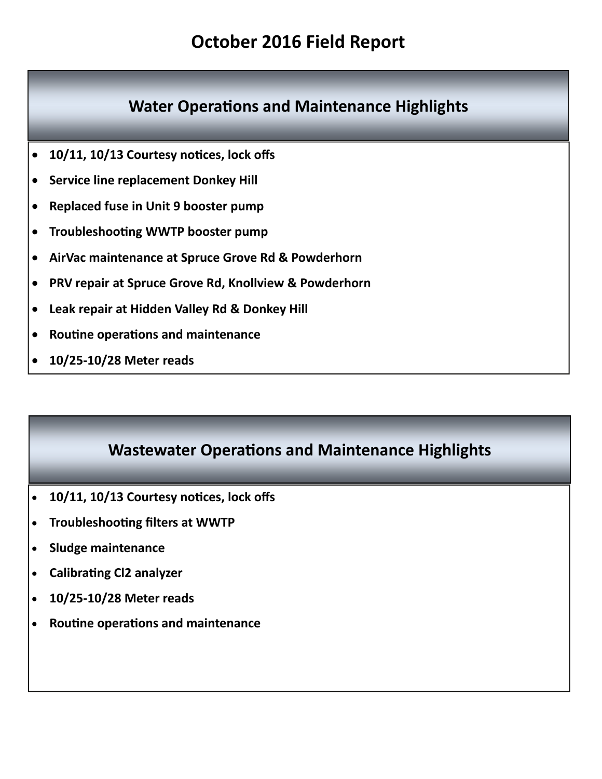# **Water Operations and Maintenance Highlights**

- $\bullet$  10/11, 10/13 Courtesy notices, lock offs
- **Service line replacement Donkey Hill**
- **Replaced fuse in Unit 9 booster pump**
- **TroubleshooƟng WWTP booster pump**
- **AirVac maintenance at Spruce Grove Rd & Powderhorn**
- **PRV repair at Spruce Grove Rd, Knollview & Powderhorn**
- **Leak repair at Hidden Valley Rd & Donkey Hill**
- **RouƟne operaƟons and maintenance**
- **10/25‐10/28 Meter reads**

# **Wastewater Operations and Maintenance Highlights**

- **10/11, 10/13 Courtesy noƟces, lock offs**
- **TroubleshooƟng filters at WWTP**
- **Sludge maintenance**
- **CalibraƟng Cl2 analyzer**
- **10/25‐10/28 Meter reads**
- **RouƟne operaƟons and maintenance**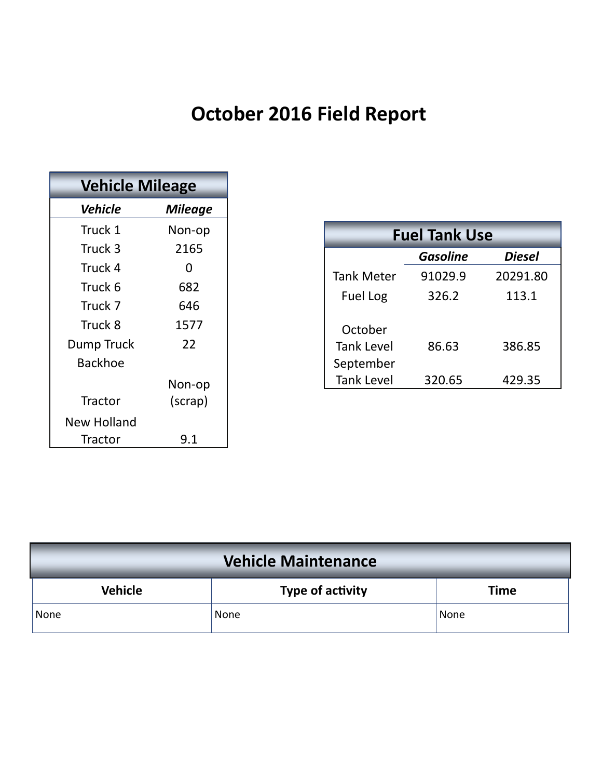# **October 2016 Field Report**

| <b>Vehicle Mileage</b> |                |  |  |
|------------------------|----------------|--|--|
| Vehicle                | <b>Mileage</b> |  |  |
| Truck 1                | Non-op         |  |  |
| Truck 3                | 2165           |  |  |
| Truck 4                | 0              |  |  |
| Truck 6                | 682            |  |  |
| Truck 7                | 646            |  |  |
| Truck 8                | 1577           |  |  |
| Dump Truck             | 22             |  |  |
| Backhoe                |                |  |  |
|                        | Non-op         |  |  |
| Tractor                | (scrap)        |  |  |
| New Holland            |                |  |  |
| Tractor                | 9.1            |  |  |

| <b>Fuel Tank Use</b> |                 |          |  |  |  |
|----------------------|-----------------|----------|--|--|--|
|                      | <b>Gasoline</b> | Diesel   |  |  |  |
| <b>Tank Meter</b>    | 91029.9         | 20291.80 |  |  |  |
| <b>Fuel Log</b>      | 326.2           | 113.1    |  |  |  |
| October              |                 |          |  |  |  |
| <b>Tank Level</b>    | 86.63           | 386.85   |  |  |  |
| September            |                 |          |  |  |  |
| <b>Tank Level</b>    | 320.65          | 429.35   |  |  |  |

| <b>Vehicle Maintenance</b> |                  |             |  |  |
|----------------------------|------------------|-------------|--|--|
| <b>Vehicle</b>             | Type of activity | <b>Time</b> |  |  |
| None                       | None             | None        |  |  |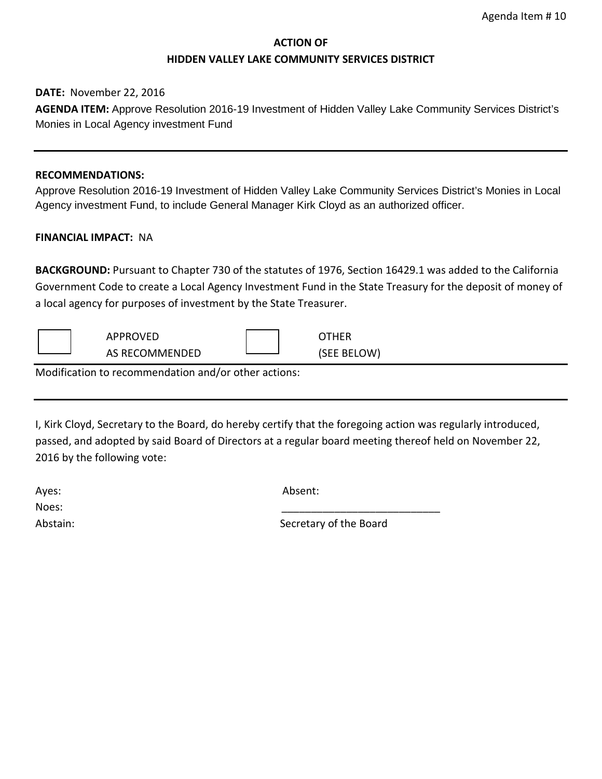# **DATE:** November 22, 2016

**AGENDA ITEM:** Approve Resolution 2016-19 Investment of Hidden Valley Lake Community Services District's Monies in Local Agency investment Fund

### **RECOMMENDATIONS:**

Approve Resolution 2016-19 Investment of Hidden Valley Lake Community Services District's Monies in Local Agency investment Fund, to include General Manager Kirk Cloyd as an authorized officer.

# **FINANCIAL IMPACT:** NA

**BACKGROUND:** Pursuant to Chapter 730 of the statutes of 1976, Section 16429.1 was added to the California Government Code to create a Local Agency Investment Fund in the State Treasury for the deposit of money of a local agency for purposes of investment by the State Treasurer.

| APPROVED       | OTHER       |
|----------------|-------------|
| AS RECOMMENDED | (SEE BELOW) |

Modification to recommendation and/or other actions:

I, Kirk Cloyd, Secretary to the Board, do hereby certify that the foregoing action was regularly introduced, passed, and adopted by said Board of Directors at a regular board meeting thereof held on November 22, 2016 by the following vote:

| Ayes: | Absent: |
|-------|---------|
| Noes: |         |

Abstain: Secretary of the Board Abstain: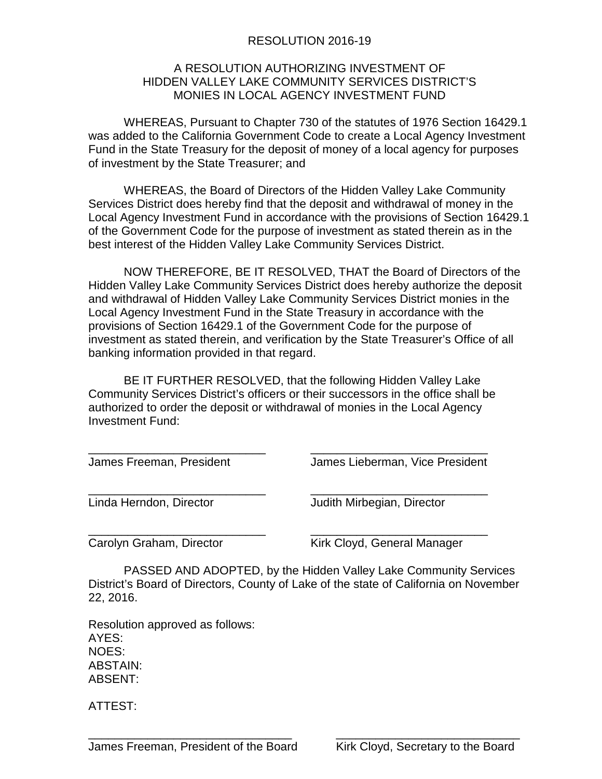# RESOLUTION 2016-19

# A RESOLUTION AUTHORIZING INVESTMENT OF HIDDEN VALLEY LAKE COMMUNITY SERVICES DISTRICT'S MONIES IN LOCAL AGENCY INVESTMENT FUND

WHEREAS, Pursuant to Chapter 730 of the statutes of 1976 Section 16429.1 was added to the California Government Code to create a Local Agency Investment Fund in the State Treasury for the deposit of money of a local agency for purposes of investment by the State Treasurer; and

WHEREAS, the Board of Directors of the Hidden Valley Lake Community Services District does hereby find that the deposit and withdrawal of money in the Local Agency Investment Fund in accordance with the provisions of Section 16429.1 of the Government Code for the purpose of investment as stated therein as in the best interest of the Hidden Valley Lake Community Services District.

NOW THEREFORE, BE IT RESOLVED, THAT the Board of Directors of the Hidden Valley Lake Community Services District does hereby authorize the deposit and withdrawal of Hidden Valley Lake Community Services District monies in the Local Agency Investment Fund in the State Treasury in accordance with the provisions of Section 16429.1 of the Government Code for the purpose of investment as stated therein, and verification by the State Treasurer's Office of all banking information provided in that regard.

BE IT FURTHER RESOLVED, that the following Hidden Valley Lake Community Services District's officers or their successors in the office shall be authorized to order the deposit or withdrawal of monies in the Local Agency Investment Fund:

\_\_\_\_\_\_\_\_\_\_\_\_\_\_\_\_\_\_\_\_\_\_\_\_\_\_\_ \_\_\_\_\_\_\_\_\_\_\_\_\_\_\_\_\_\_\_\_\_\_\_\_\_\_\_ James Freeman, President James Lieberman, Vice President

\_\_\_\_\_\_\_\_\_\_\_\_\_\_\_\_\_\_\_\_\_\_\_\_\_\_\_ \_\_\_\_\_\_\_\_\_\_\_\_\_\_\_\_\_\_\_\_\_\_\_\_\_\_\_ Linda Herndon, Director **Franch Budith Mirbegian, Director** 

\_\_\_\_\_\_\_\_\_\_\_\_\_\_\_\_\_\_\_\_\_\_\_\_\_\_\_ \_\_\_\_\_\_\_\_\_\_\_\_\_\_\_\_\_\_\_\_\_\_\_\_\_\_\_ Carolyn Graham, Director **Kirk Cloyd, General Manager** 

PASSED AND ADOPTED, by the Hidden Valley Lake Community Services District's Board of Directors, County of Lake of the state of California on November 22, 2016.

Resolution approved as follows: AYES: NOES: ABSTAIN: ABSENT:

ATTEST: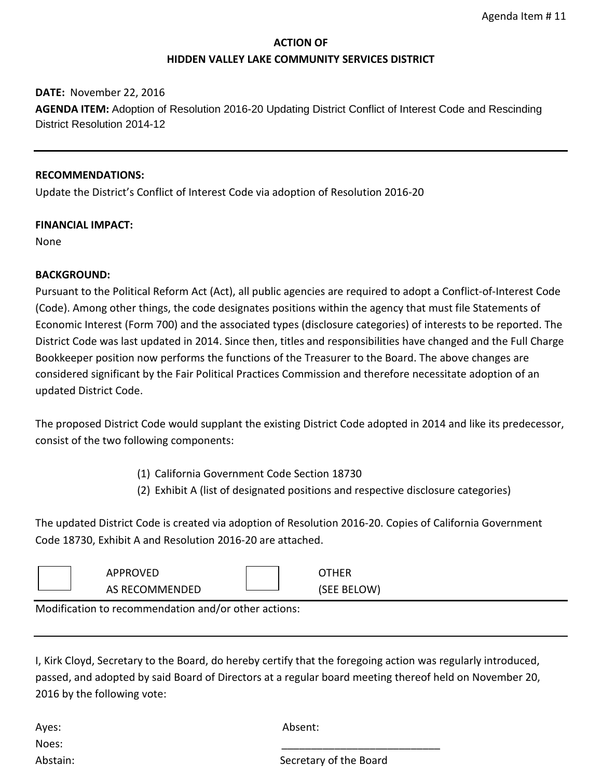# **DATE:** November 22, 2016

**AGENDA ITEM:** Adoption of Resolution 2016-20 Updating District Conflict of Interest Code and Rescinding District Resolution 2014-12

# **RECOMMENDATIONS:**

Update the District's Conflict of Interest Code via adoption of Resolution 2016-20

# **FINANCIAL IMPACT:**

None

# **BACKGROUND:**

Pursuant to the Political Reform Act (Act), all public agencies are required to adopt a Conflict-of-Interest Code (Code). Among other things, the code designates positions within the agency that must file Statements of Economic Interest (Form 700) and the associated types (disclosure categories) of interests to be reported. The District Code was last updated in 2014. Since then, titles and responsibilities have changed and the Full Charge Bookkeeper position now performs the functions of the Treasurer to the Board. The above changes are considered significant by the Fair Political Practices Commission and therefore necessitate adoption of an updated District Code.

The proposed District Code would supplant the existing District Code adopted in 2014 and like its predecessor, consist of the two following components:

- (1) California Government Code Section 18730
- (2) Exhibit A (list of designated positions and respective disclosure categories)

The updated District Code is created via adoption of Resolution 2016-20. Copies of California Government Code 18730, Exhibit A and Resolution 2016-20 are attached.

| <b>APPROVED</b> | THER        |  |
|-----------------|-------------|--|
| AS RECOMMENDED  | (SEE BELOW) |  |

Modification to recommendation and/or other actions:

I, Kirk Cloyd, Secretary to the Board, do hereby certify that the foregoing action was regularly introduced, passed, and adopted by said Board of Directors at a regular board meeting thereof held on November 20, 2016 by the following vote:

Ayes: Absent: Noes: \_\_\_\_\_\_\_\_\_\_\_\_\_\_\_\_\_\_\_\_\_\_\_\_\_\_\_

Abstain: Secretary of the Board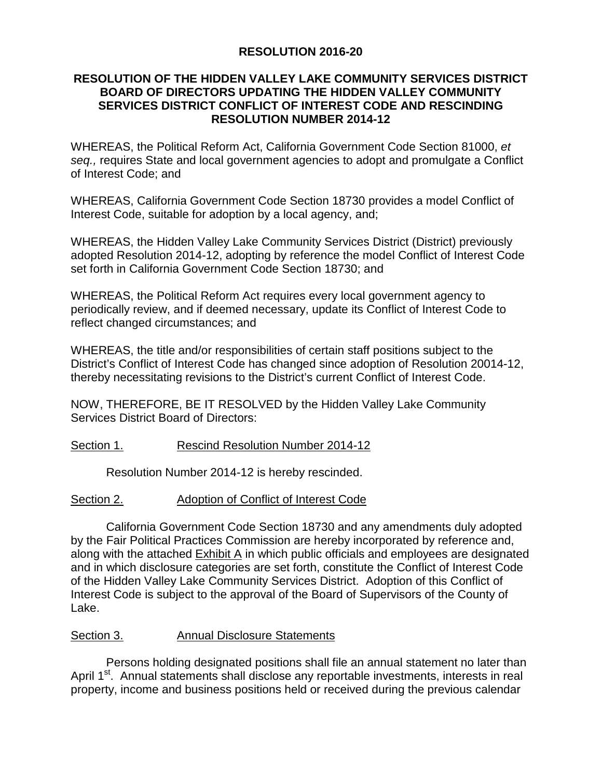# **RESOLUTION 2016-20**

# **RESOLUTION OF THE HIDDEN VALLEY LAKE COMMUNITY SERVICES DISTRICT BOARD OF DIRECTORS UPDATING THE HIDDEN VALLEY COMMUNITY SERVICES DISTRICT CONFLICT OF INTEREST CODE AND RESCINDING RESOLUTION NUMBER 2014-12**

WHEREAS, the Political Reform Act, California Government Code Section 81000, *et seq.,* requires State and local government agencies to adopt and promulgate a Conflict of Interest Code; and

WHEREAS, California Government Code Section 18730 provides a model Conflict of Interest Code, suitable for adoption by a local agency, and;

WHEREAS, the Hidden Valley Lake Community Services District (District) previously adopted Resolution 2014-12, adopting by reference the model Conflict of Interest Code set forth in California Government Code Section 18730; and

WHEREAS, the Political Reform Act requires every local government agency to periodically review, and if deemed necessary, update its Conflict of Interest Code to reflect changed circumstances; and

WHEREAS, the title and/or responsibilities of certain staff positions subject to the District's Conflict of Interest Code has changed since adoption of Resolution 20014-12, thereby necessitating revisions to the District's current Conflict of Interest Code.

NOW, THEREFORE, BE IT RESOLVED by the Hidden Valley Lake Community Services District Board of Directors:

# Section 1. Rescind Resolution Number 2014-12

Resolution Number 2014-12 is hereby rescinded.

# Section 2. Adoption of Conflict of Interest Code

California Government Code Section 18730 and any amendments duly adopted by the Fair Political Practices Commission are hereby incorporated by reference and, along with the attached Exhibit A in which public officials and employees are designated and in which disclosure categories are set forth, constitute the Conflict of Interest Code of the Hidden Valley Lake Community Services District. Adoption of this Conflict of Interest Code is subject to the approval of the Board of Supervisors of the County of Lake.

# Section 3. Annual Disclosure Statements

Persons holding designated positions shall file an annual statement no later than April 1<sup>st</sup>. Annual statements shall disclose any reportable investments, interests in real property, income and business positions held or received during the previous calendar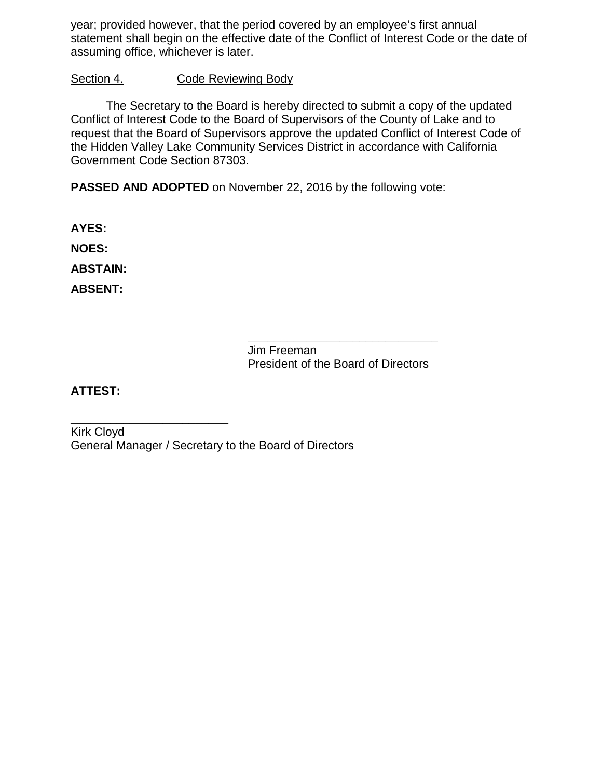year; provided however, that the period covered by an employee's first annual statement shall begin on the effective date of the Conflict of Interest Code or the date of assuming office, whichever is later.

# Section 4. Code Reviewing Body

The Secretary to the Board is hereby directed to submit a copy of the updated Conflict of Interest Code to the Board of Supervisors of the County of Lake and to request that the Board of Supervisors approve the updated Conflict of Interest Code of the Hidden Valley Lake Community Services District in accordance with California Government Code Section 87303.

**PASSED AND ADOPTED** on November 22, 2016 by the following vote:

**AYES: NOES: ABSTAIN: ABSENT:** 

> **\_\_\_\_\_\_\_\_\_\_\_\_\_\_\_\_\_\_\_\_\_\_\_\_\_\_\_\_\_** Jim Freeman President of the Board of Directors

**ATTEST:**

\_\_\_\_\_\_\_\_\_\_\_\_\_\_\_\_\_\_\_\_\_\_\_\_ Kirk Cloyd General Manager / Secretary to the Board of Directors